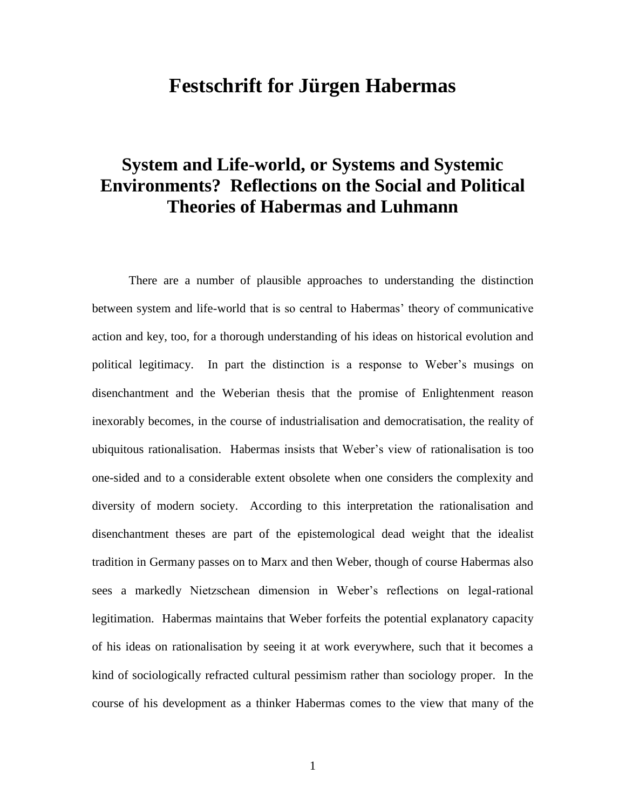## **Festschrift for Jürgen Habermas**

# **System and Life-world, or Systems and Systemic Environments? Reflections on the Social and Political Theories of Habermas and Luhmann**

There are a number of plausible approaches to understanding the distinction between system and life-world that is so central to Habermas' theory of communicative action and key, too, for a thorough understanding of his ideas on historical evolution and political legitimacy. In part the distinction is a response to Weber's musings on disenchantment and the Weberian thesis that the promise of Enlightenment reason inexorably becomes, in the course of industrialisation and democratisation, the reality of ubiquitous rationalisation. Habermas insists that Weber's view of rationalisation is too one-sided and to a considerable extent obsolete when one considers the complexity and diversity of modern society. According to this interpretation the rationalisation and disenchantment theses are part of the epistemological dead weight that the idealist tradition in Germany passes on to Marx and then Weber, though of course Habermas also sees a markedly Nietzschean dimension in Weber's reflections on legal-rational legitimation. Habermas maintains that Weber forfeits the potential explanatory capacity of his ideas on rationalisation by seeing it at work everywhere, such that it becomes a kind of sociologically refracted cultural pessimism rather than sociology proper. In the course of his development as a thinker Habermas comes to the view that many of the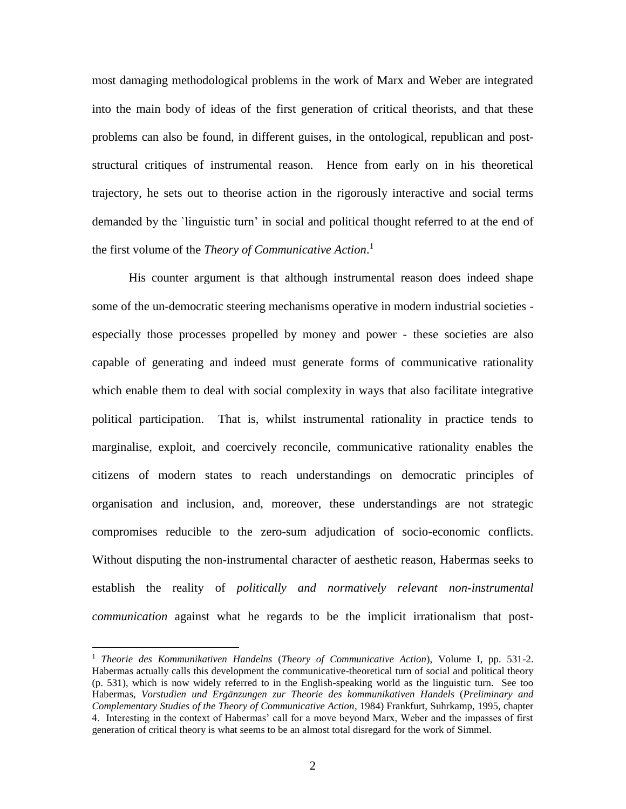most damaging methodological problems in the work of Marx and Weber are integrated into the main body of ideas of the first generation of critical theorists, and that these problems can also be found, in different guises, in the ontological, republican and poststructural critiques of instrumental reason. Hence from early on in his theoretical trajectory, he sets out to theorise action in the rigorously interactive and social terms demanded by the `linguistic turn' in social and political thought referred to at the end of the first volume of the *Theory of Communicative Action*. 1

His counter argument is that although instrumental reason does indeed shape some of the un-democratic steering mechanisms operative in modern industrial societies especially those processes propelled by money and power - these societies are also capable of generating and indeed must generate forms of communicative rationality which enable them to deal with social complexity in ways that also facilitate integrative political participation. That is, whilst instrumental rationality in practice tends to marginalise, exploit, and coercively reconcile, communicative rationality enables the citizens of modern states to reach understandings on democratic principles of organisation and inclusion, and, moreover, these understandings are not strategic compromises reducible to the zero-sum adjudication of socio-economic conflicts. Without disputing the non-instrumental character of aesthetic reason, Habermas seeks to establish the reality of *politically and normatively relevant non-instrumental communication* against what he regards to be the implicit irrationalism that post-

<sup>1</sup> *Theorie des Kommunikativen Handelns* (*Theory of Communicative Action*), Volume I, pp. 531-2. Habermas actually calls this development the communicative-theoretical turn of social and political theory (p. 531), which is now widely referred to in the English-speaking world as the linguistic turn. See too Habermas, *Vorstudien und Ergänzungen zur Theorie des kommunikativen Handels* (*Preliminary and Complementary Studies of the Theory of Communicative Action*, 1984) Frankfurt, Suhrkamp, 1995, chapter 4. Interesting in the context of Habermas' call for a move beyond Marx, Weber and the impasses of first generation of critical theory is what seems to be an almost total disregard for the work of Simmel.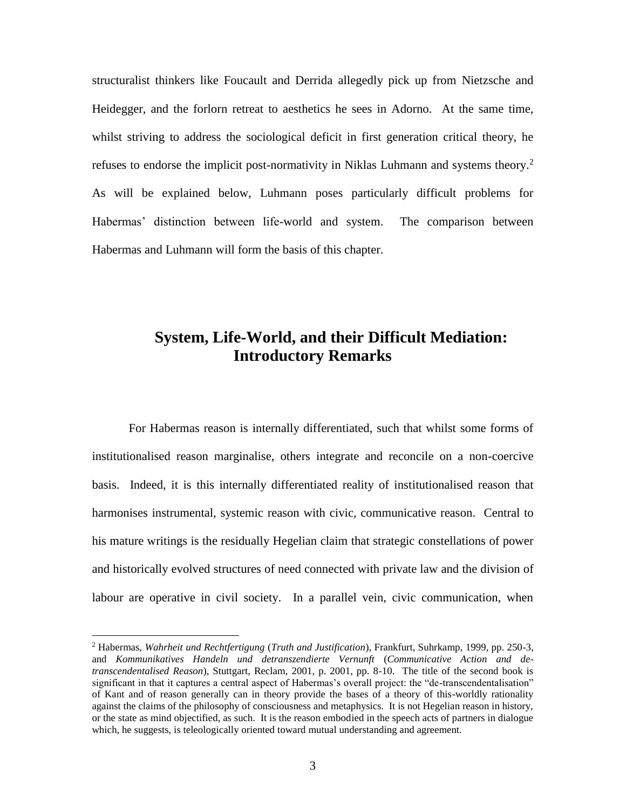structuralist thinkers like Foucault and Derrida allegedly pick up from Nietzsche and Heidegger, and the forlorn retreat to aesthetics he sees in Adorno. At the same time, whilst striving to address the sociological deficit in first generation critical theory, he refuses to endorse the implicit post-normativity in Niklas Luhmann and systems theory.<sup>2</sup> As will be explained below, Luhmann poses particularly difficult problems for Habermas' distinction between life-world and system. The comparison between Habermas and Luhmann will form the basis of this chapter.

### **System, Life-World, and their Difficult Mediation: Introductory Remarks**

For Habermas reason is internally differentiated, such that whilst some forms of institutionalised reason marginalise, others integrate and reconcile on a non-coercive basis. Indeed, it is this internally differentiated reality of institutionalised reason that harmonises instrumental, systemic reason with civic, communicative reason. Central to his mature writings is the residually Hegelian claim that strategic constellations of power and historically evolved structures of need connected with private law and the division of labour are operative in civil society. In a parallel vein, civic communication, when

<sup>2</sup> Habermas, *Wahrheit und Rechtfertigung* (*Truth and Justification*), Frankfurt, Suhrkamp, 1999, pp. 250-3, and *Kommunikatives Handeln und detranszendierte Vernunft* (*Communicative Action and detranscendentalised Reason*), Stuttgart, Reclam, 2001, p. 2001, pp. 8-10. The title of the second book is significant in that it captures a central aspect of Habermas's overall project: the "de-transcendentalisation" of Kant and of reason generally can in theory provide the bases of a theory of this-worldly rationality against the claims of the philosophy of consciousness and metaphysics. It is not Hegelian reason in history, or the state as mind objectified, as such. It is the reason embodied in the speech acts of partners in dialogue which, he suggests, is teleologically oriented toward mutual understanding and agreement.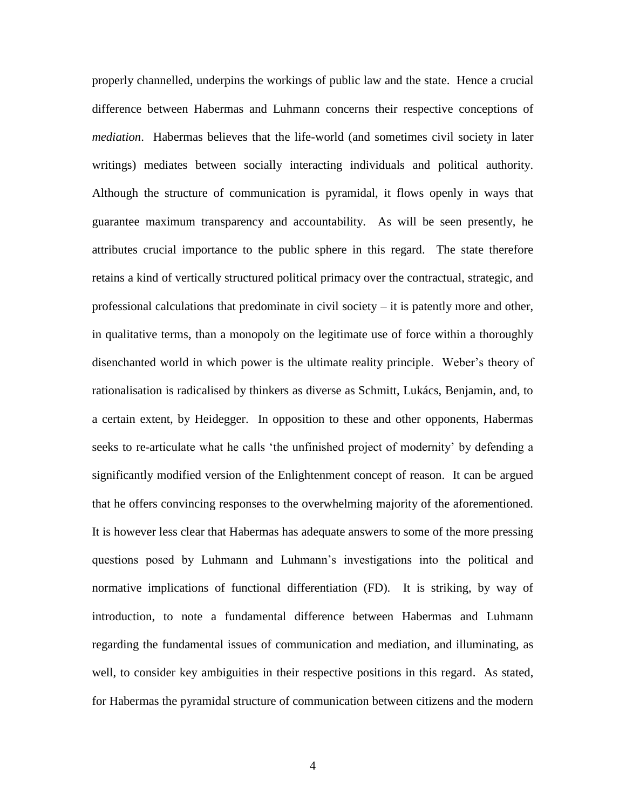properly channelled, underpins the workings of public law and the state. Hence a crucial difference between Habermas and Luhmann concerns their respective conceptions of *mediation*. Habermas believes that the life-world (and sometimes civil society in later writings) mediates between socially interacting individuals and political authority. Although the structure of communication is pyramidal, it flows openly in ways that guarantee maximum transparency and accountability. As will be seen presently, he attributes crucial importance to the public sphere in this regard. The state therefore retains a kind of vertically structured political primacy over the contractual, strategic, and professional calculations that predominate in civil society – it is patently more and other, in qualitative terms, than a monopoly on the legitimate use of force within a thoroughly disenchanted world in which power is the ultimate reality principle. Weber's theory of rationalisation is radicalised by thinkers as diverse as Schmitt, Lukács, Benjamin, and, to a certain extent, by Heidegger. In opposition to these and other opponents, Habermas seeks to re-articulate what he calls 'the unfinished project of modernity' by defending a significantly modified version of the Enlightenment concept of reason. It can be argued that he offers convincing responses to the overwhelming majority of the aforementioned. It is however less clear that Habermas has adequate answers to some of the more pressing questions posed by Luhmann and Luhmann's investigations into the political and normative implications of functional differentiation (FD). It is striking, by way of introduction, to note a fundamental difference between Habermas and Luhmann regarding the fundamental issues of communication and mediation, and illuminating, as well, to consider key ambiguities in their respective positions in this regard. As stated, for Habermas the pyramidal structure of communication between citizens and the modern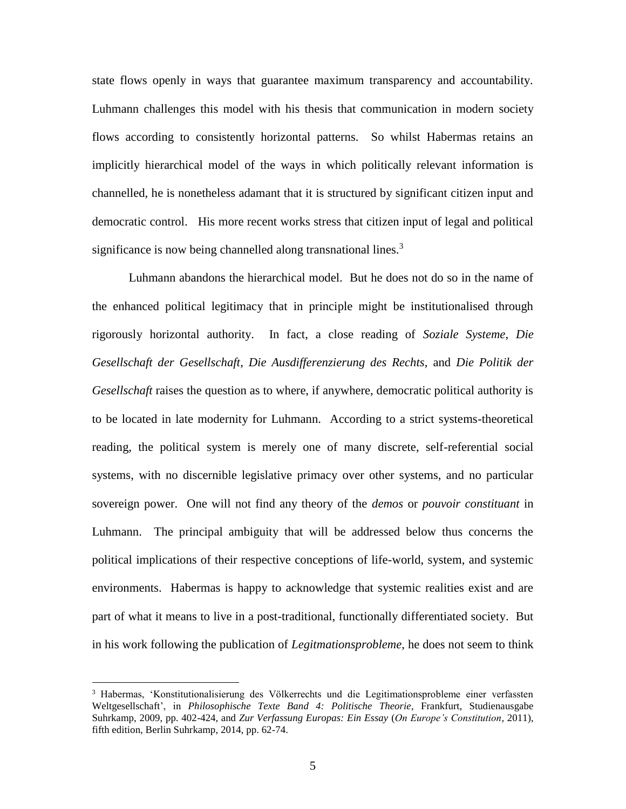state flows openly in ways that guarantee maximum transparency and accountability. Luhmann challenges this model with his thesis that communication in modern society flows according to consistently horizontal patterns. So whilst Habermas retains an implicitly hierarchical model of the ways in which politically relevant information is channelled, he is nonetheless adamant that it is structured by significant citizen input and democratic control. His more recent works stress that citizen input of legal and political significance is now being channelled along transnational lines.<sup>3</sup>

Luhmann abandons the hierarchical model. But he does not do so in the name of the enhanced political legitimacy that in principle might be institutionalised through rigorously horizontal authority. In fact, a close reading of *Soziale Systeme*, *Die Gesellschaft der Gesellschaft*, *Die Ausdifferenzierung des Rechts*, and *Die Politik der Gesellschaft* raises the question as to where, if anywhere, democratic political authority is to be located in late modernity for Luhmann. According to a strict systems-theoretical reading, the political system is merely one of many discrete, self-referential social systems, with no discernible legislative primacy over other systems, and no particular sovereign power. One will not find any theory of the *demos* or *pouvoir constituant* in Luhmann. The principal ambiguity that will be addressed below thus concerns the political implications of their respective conceptions of life-world, system, and systemic environments. Habermas is happy to acknowledge that systemic realities exist and are part of what it means to live in a post-traditional, functionally differentiated society. But in his work following the publication of *Legitmationsprobleme*, he does not seem to think

<sup>3</sup> Habermas, 'Konstitutionalisierung des Völkerrechts und die Legitimationsprobleme einer verfassten Weltgesellschaft', in *Philosophische Texte Band 4: Politische Theorie*, Frankfurt, Studienausgabe Suhrkamp, 2009, pp. 402-424, and *Zur Verfassung Europas: Ein Essay* (*On Europe's Constitution*, 2011), fifth edition, Berlin Suhrkamp, 2014, pp. 62-74.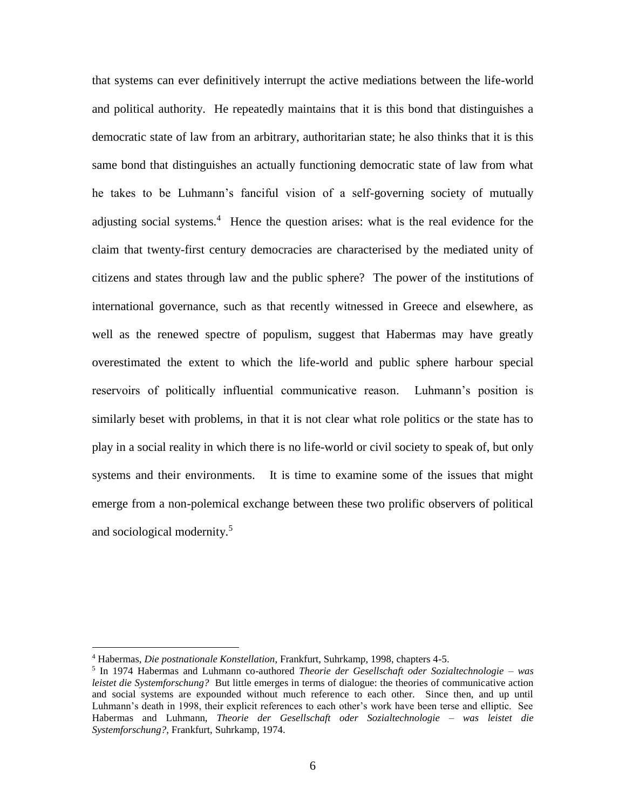that systems can ever definitively interrupt the active mediations between the life-world and political authority. He repeatedly maintains that it is this bond that distinguishes a democratic state of law from an arbitrary, authoritarian state; he also thinks that it is this same bond that distinguishes an actually functioning democratic state of law from what he takes to be Luhmann's fanciful vision of a self-governing society of mutually adjusting social systems.<sup>4</sup> Hence the question arises: what is the real evidence for the claim that twenty-first century democracies are characterised by the mediated unity of citizens and states through law and the public sphere? The power of the institutions of international governance, such as that recently witnessed in Greece and elsewhere, as well as the renewed spectre of populism, suggest that Habermas may have greatly overestimated the extent to which the life-world and public sphere harbour special reservoirs of politically influential communicative reason. Luhmann's position is similarly beset with problems, in that it is not clear what role politics or the state has to play in a social reality in which there is no life-world or civil society to speak of, but only systems and their environments. It is time to examine some of the issues that might emerge from a non-polemical exchange between these two prolific observers of political and sociological modernity.<sup>5</sup>

<sup>4</sup> Habermas, *Die postnationale Konstellation*, Frankfurt, Suhrkamp, 1998, chapters 4-5.

<sup>5</sup> In 1974 Habermas and Luhmann co-authored *Theorie der Gesellschaft oder Sozialtechnologie – was leistet die Systemforschung?* But little emerges in terms of dialogue: the theories of communicative action and social systems are expounded without much reference to each other. Since then, and up until Luhmann's death in 1998, their explicit references to each other's work have been terse and elliptic. See Habermas and Luhmann, *Theorie der Gesellschaft oder Sozialtechnologie – was leistet die Systemforschung?*, Frankfurt, Suhrkamp, 1974.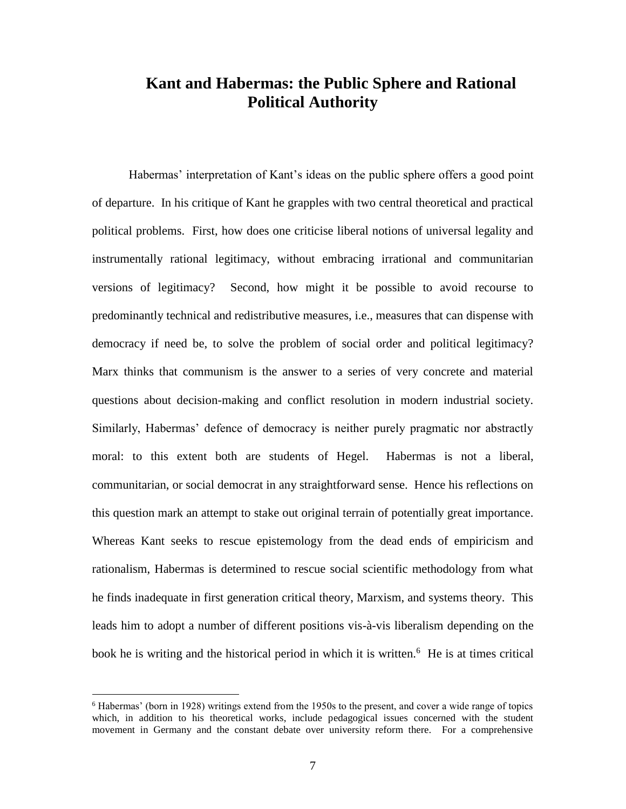#### **Kant and Habermas: the Public Sphere and Rational Political Authority**

Habermas' interpretation of Kant's ideas on the public sphere offers a good point of departure. In his critique of Kant he grapples with two central theoretical and practical political problems. First, how does one criticise liberal notions of universal legality and instrumentally rational legitimacy, without embracing irrational and communitarian versions of legitimacy? Second, how might it be possible to avoid recourse to predominantly technical and redistributive measures, i.e., measures that can dispense with democracy if need be, to solve the problem of social order and political legitimacy? Marx thinks that communism is the answer to a series of very concrete and material questions about decision-making and conflict resolution in modern industrial society. Similarly, Habermas' defence of democracy is neither purely pragmatic nor abstractly moral: to this extent both are students of Hegel. Habermas is not a liberal, communitarian, or social democrat in any straightforward sense. Hence his reflections on this question mark an attempt to stake out original terrain of potentially great importance. Whereas Kant seeks to rescue epistemology from the dead ends of empiricism and rationalism, Habermas is determined to rescue social scientific methodology from what he finds inadequate in first generation critical theory, Marxism, and systems theory. This leads him to adopt a number of different positions vis-à-vis liberalism depending on the book he is writing and the historical period in which it is written.<sup>6</sup> He is at times critical

<sup>6</sup> Habermas' (born in 1928) writings extend from the 1950s to the present, and cover a wide range of topics which, in addition to his theoretical works, include pedagogical issues concerned with the student movement in Germany and the constant debate over university reform there. For a comprehensive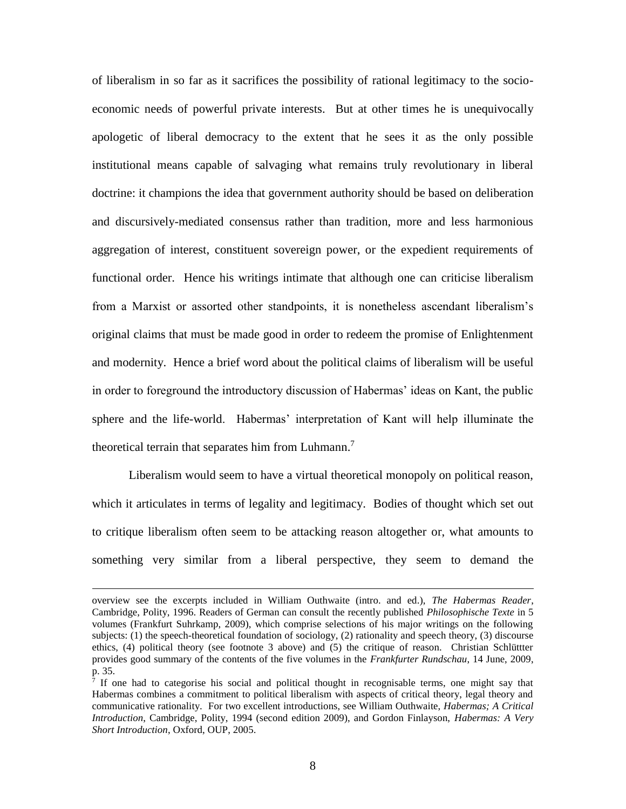of liberalism in so far as it sacrifices the possibility of rational legitimacy to the socioeconomic needs of powerful private interests. But at other times he is unequivocally apologetic of liberal democracy to the extent that he sees it as the only possible institutional means capable of salvaging what remains truly revolutionary in liberal doctrine: it champions the idea that government authority should be based on deliberation and discursively-mediated consensus rather than tradition, more and less harmonious aggregation of interest, constituent sovereign power, or the expedient requirements of functional order. Hence his writings intimate that although one can criticise liberalism from a Marxist or assorted other standpoints, it is nonetheless ascendant liberalism's original claims that must be made good in order to redeem the promise of Enlightenment and modernity. Hence a brief word about the political claims of liberalism will be useful in order to foreground the introductory discussion of Habermas' ideas on Kant, the public sphere and the life-world. Habermas' interpretation of Kant will help illuminate the theoretical terrain that separates him from Luhmann.<sup>7</sup>

Liberalism would seem to have a virtual theoretical monopoly on political reason, which it articulates in terms of legality and legitimacy. Bodies of thought which set out to critique liberalism often seem to be attacking reason altogether or, what amounts to something very similar from a liberal perspective, they seem to demand the

overview see the excerpts included in William Outhwaite (intro. and ed.), *The Habermas Reader*, Cambridge, Polity, 1996. Readers of German can consult the recently published *Philosophische Texte* in 5 volumes (Frankfurt Suhrkamp, 2009), which comprise selections of his major writings on the following subjects: (1) the speech-theoretical foundation of sociology, (2) rationality and speech theory, (3) discourse ethics, (4) political theory (see footnote 3 above) and (5) the critique of reason. Christian Schlüttter provides good summary of the contents of the five volumes in the *Frankfurter Rundschau*, 14 June, 2009, p. 35.

<sup>&</sup>lt;sup>7</sup> If one had to categorise his social and political thought in recognisable terms, one might say that Habermas combines a commitment to political liberalism with aspects of critical theory, legal theory and communicative rationality. For two excellent introductions, see William Outhwaite, *Habermas; A Critical Introduction*, Cambridge, Polity, 1994 (second edition 2009), and Gordon Finlayson, *Habermas: A Very Short Introduction*, Oxford, OUP, 2005.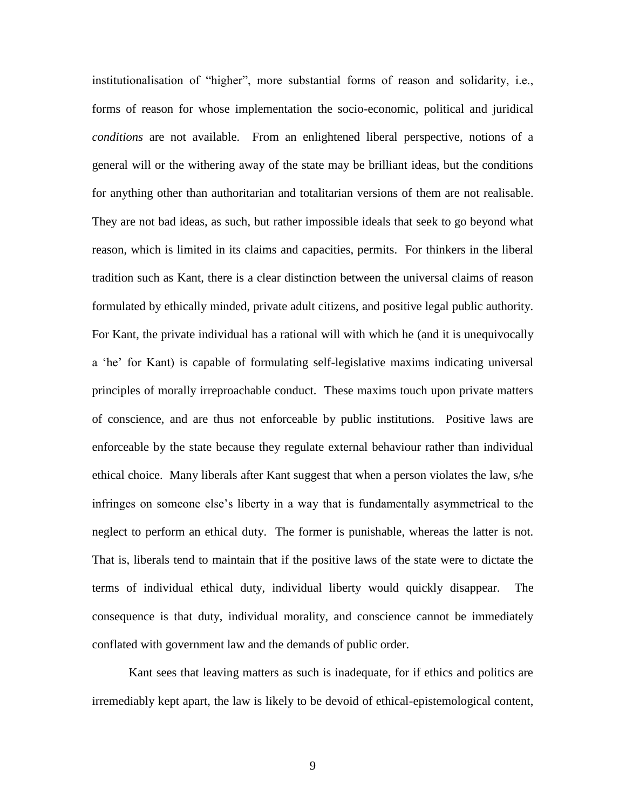institutionalisation of "higher", more substantial forms of reason and solidarity, i.e., forms of reason for whose implementation the socio-economic, political and juridical *conditions* are not available. From an enlightened liberal perspective, notions of a general will or the withering away of the state may be brilliant ideas, but the conditions for anything other than authoritarian and totalitarian versions of them are not realisable. They are not bad ideas, as such, but rather impossible ideals that seek to go beyond what reason, which is limited in its claims and capacities, permits. For thinkers in the liberal tradition such as Kant, there is a clear distinction between the universal claims of reason formulated by ethically minded, private adult citizens, and positive legal public authority. For Kant, the private individual has a rational will with which he (and it is unequivocally a 'he' for Kant) is capable of formulating self-legislative maxims indicating universal principles of morally irreproachable conduct. These maxims touch upon private matters of conscience, and are thus not enforceable by public institutions. Positive laws are enforceable by the state because they regulate external behaviour rather than individual ethical choice. Many liberals after Kant suggest that when a person violates the law, s/he infringes on someone else's liberty in a way that is fundamentally asymmetrical to the neglect to perform an ethical duty. The former is punishable, whereas the latter is not. That is, liberals tend to maintain that if the positive laws of the state were to dictate the terms of individual ethical duty, individual liberty would quickly disappear. The consequence is that duty, individual morality, and conscience cannot be immediately conflated with government law and the demands of public order.

Kant sees that leaving matters as such is inadequate, for if ethics and politics are irremediably kept apart, the law is likely to be devoid of ethical-epistemological content,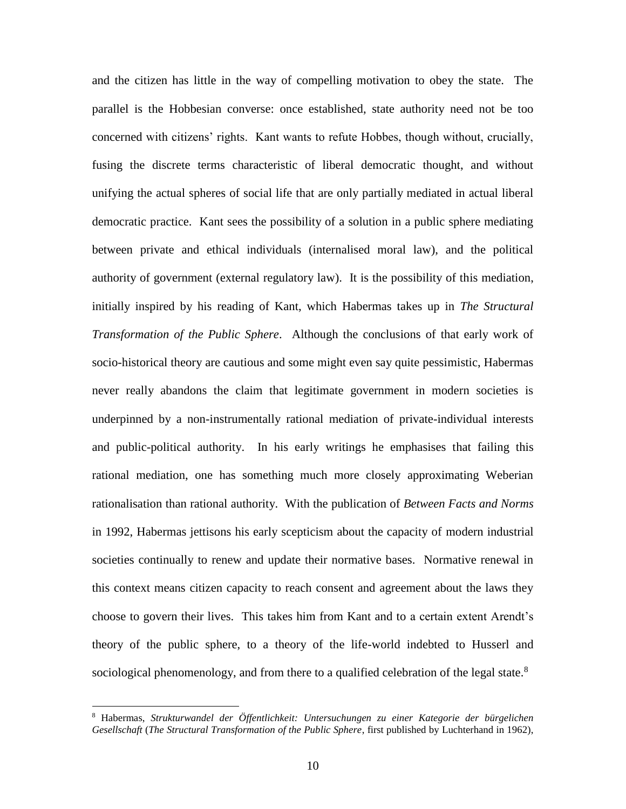and the citizen has little in the way of compelling motivation to obey the state. The parallel is the Hobbesian converse: once established, state authority need not be too concerned with citizens' rights. Kant wants to refute Hobbes, though without, crucially, fusing the discrete terms characteristic of liberal democratic thought, and without unifying the actual spheres of social life that are only partially mediated in actual liberal democratic practice. Kant sees the possibility of a solution in a public sphere mediating between private and ethical individuals (internalised moral law), and the political authority of government (external regulatory law). It is the possibility of this mediation, initially inspired by his reading of Kant, which Habermas takes up in *The Structural Transformation of the Public Sphere*. Although the conclusions of that early work of socio-historical theory are cautious and some might even say quite pessimistic, Habermas never really abandons the claim that legitimate government in modern societies is underpinned by a non-instrumentally rational mediation of private-individual interests and public-political authority. In his early writings he emphasises that failing this rational mediation, one has something much more closely approximating Weberian rationalisation than rational authority. With the publication of *Between Facts and Norms* in 1992, Habermas jettisons his early scepticism about the capacity of modern industrial societies continually to renew and update their normative bases. Normative renewal in this context means citizen capacity to reach consent and agreement about the laws they choose to govern their lives. This takes him from Kant and to a certain extent Arendt's theory of the public sphere, to a theory of the life-world indebted to Husserl and sociological phenomenology, and from there to a qualified celebration of the legal state.<sup>8</sup>

<sup>8</sup> Habermas, *Strukturwandel der Öffentlichkeit: Untersuchungen zu einer Kategorie der bürgelichen Gesellschaft* (*The Structural Transformation of the Public Sphere*, first published by Luchterhand in 1962),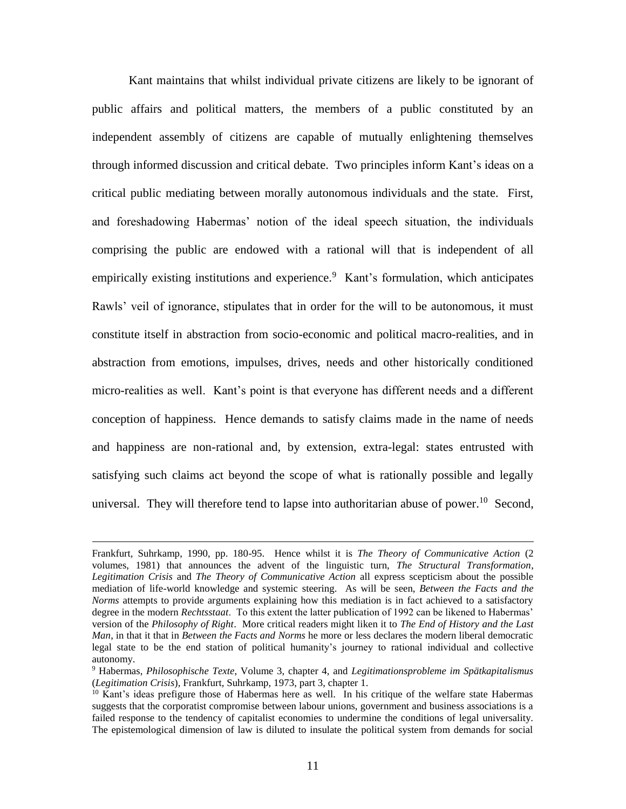Kant maintains that whilst individual private citizens are likely to be ignorant of public affairs and political matters, the members of a public constituted by an independent assembly of citizens are capable of mutually enlightening themselves through informed discussion and critical debate. Two principles inform Kant's ideas on a critical public mediating between morally autonomous individuals and the state. First, and foreshadowing Habermas' notion of the ideal speech situation, the individuals comprising the public are endowed with a rational will that is independent of all empirically existing institutions and experience.<sup>9</sup> Kant's formulation, which anticipates Rawls' veil of ignorance, stipulates that in order for the will to be autonomous, it must constitute itself in abstraction from socio-economic and political macro-realities, and in abstraction from emotions, impulses, drives, needs and other historically conditioned micro-realities as well. Kant's point is that everyone has different needs and a different conception of happiness. Hence demands to satisfy claims made in the name of needs and happiness are non-rational and, by extension, extra-legal: states entrusted with satisfying such claims act beyond the scope of what is rationally possible and legally universal. They will therefore tend to lapse into authoritarian abuse of power.<sup>10</sup> Second,

Frankfurt, Suhrkamp, 1990, pp. 180-95. Hence whilst it is *The Theory of Communicative Action* (2 volumes, 1981) that announces the advent of the linguistic turn, *The Structural Transformation*, *Legitimation Crisis* and *The Theory of Communicative Action* all express scepticism about the possible mediation of life-world knowledge and systemic steering. As will be seen, *Between the Facts and the Norms* attempts to provide arguments explaining how this mediation is in fact achieved to a satisfactory degree in the modern *Rechtsstaat*. To this extent the latter publication of 1992 can be likened to Habermas' version of the *Philosophy of Right*. More critical readers might liken it to *The End of History and the Last Man*, in that it that in *Between the Facts and Norms* he more or less declares the modern liberal democratic legal state to be the end station of political humanity's journey to rational individual and collective autonomy.

<sup>9</sup> Habermas, *Philosophische Texte*, Volume 3, chapter 4, and *Legitimationsprobleme im Spätkapitalismus* (*Legitimation Crisis*), Frankfurt, Suhrkamp, 1973, part 3, chapter 1.

<sup>&</sup>lt;sup>10</sup> Kant's ideas prefigure those of Habermas here as well. In his critique of the welfare state Habermas suggests that the corporatist compromise between labour unions, government and business associations is a failed response to the tendency of capitalist economies to undermine the conditions of legal universality. The epistemological dimension of law is diluted to insulate the political system from demands for social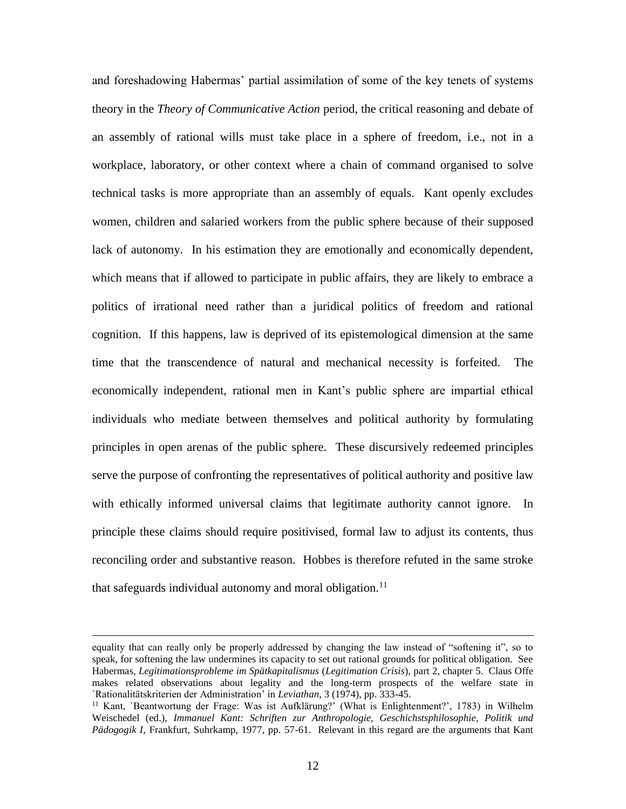and foreshadowing Habermas' partial assimilation of some of the key tenets of systems theory in the *Theory of Communicative Action* period, the critical reasoning and debate of an assembly of rational wills must take place in a sphere of freedom, i.e., not in a workplace, laboratory, or other context where a chain of command organised to solve technical tasks is more appropriate than an assembly of equals. Kant openly excludes women, children and salaried workers from the public sphere because of their supposed lack of autonomy. In his estimation they are emotionally and economically dependent, which means that if allowed to participate in public affairs, they are likely to embrace a politics of irrational need rather than a juridical politics of freedom and rational cognition. If this happens, law is deprived of its epistemological dimension at the same time that the transcendence of natural and mechanical necessity is forfeited. The economically independent, rational men in Kant's public sphere are impartial ethical individuals who mediate between themselves and political authority by formulating principles in open arenas of the public sphere. These discursively redeemed principles serve the purpose of confronting the representatives of political authority and positive law with ethically informed universal claims that legitimate authority cannot ignore. In principle these claims should require positivised, formal law to adjust its contents, thus reconciling order and substantive reason. Hobbes is therefore refuted in the same stroke that safeguards individual autonomy and moral obligation.<sup>11</sup>

equality that can really only be properly addressed by changing the law instead of "softening it", so to speak, for softening the law undermines its capacity to set out rational grounds for political obligation. See Habermas, *Legitimationsprobleme im Spätkapitalismus* (*Legitimation Crisis*), part 2, chapter 5. Claus Offe makes related observations about legality and the long-term prospects of the welfare state in `Rationalitätskriterien der Administration' in *Leviathan*, 3 (1974), pp. 333-45.

<sup>&</sup>lt;sup>11</sup> Kant, `Beantwortung der Frage: Was ist Aufklärung?' (What is Enlightenment?', 1783) in Wilhelm Weischedel (ed.), *Immanuel Kant: Schriften zur Anthropologie, Geschichstsphilosophie, Politik und Pädogogik I*, Frankfurt, Suhrkamp, 1977, pp. 57-61. Relevant in this regard are the arguments that Kant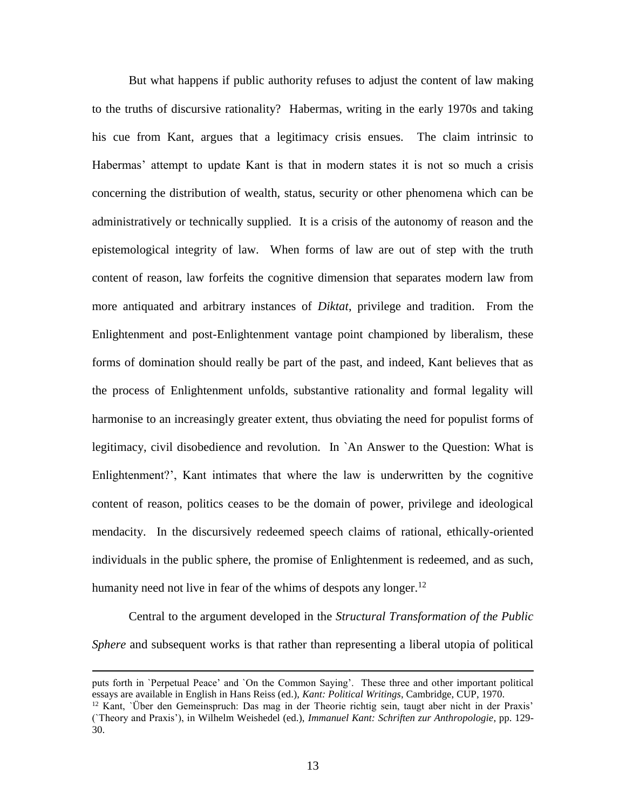But what happens if public authority refuses to adjust the content of law making to the truths of discursive rationality? Habermas, writing in the early 1970s and taking his cue from Kant, argues that a legitimacy crisis ensues. The claim intrinsic to Habermas' attempt to update Kant is that in modern states it is not so much a crisis concerning the distribution of wealth, status, security or other phenomena which can be administratively or technically supplied. It is a crisis of the autonomy of reason and the epistemological integrity of law. When forms of law are out of step with the truth content of reason, law forfeits the cognitive dimension that separates modern law from more antiquated and arbitrary instances of *Diktat*, privilege and tradition. From the Enlightenment and post-Enlightenment vantage point championed by liberalism, these forms of domination should really be part of the past, and indeed, Kant believes that as the process of Enlightenment unfolds, substantive rationality and formal legality will harmonise to an increasingly greater extent, thus obviating the need for populist forms of legitimacy, civil disobedience and revolution. In `An Answer to the Question: What is Enlightenment?', Kant intimates that where the law is underwritten by the cognitive content of reason, politics ceases to be the domain of power, privilege and ideological mendacity. In the discursively redeemed speech claims of rational, ethically-oriented individuals in the public sphere, the promise of Enlightenment is redeemed, and as such, humanity need not live in fear of the whims of despots any longer.<sup>12</sup>

Central to the argument developed in the *Structural Transformation of the Public Sphere* and subsequent works is that rather than representing a liberal utopia of political

puts forth in `Perpetual Peace' and `On the Common Saying'. These three and other important political essays are available in English in Hans Reiss (ed.), *Kant: Political Writings*, Cambridge, CUP, 1970.

<sup>12</sup> Kant, `Über den Gemeinspruch: Das mag in der Theorie richtig sein, taugt aber nicht in der Praxis' (`Theory and Praxis'), in Wilhelm Weishedel (ed.), *Immanuel Kant: Schriften zur Anthropologie*, pp. 129- 30.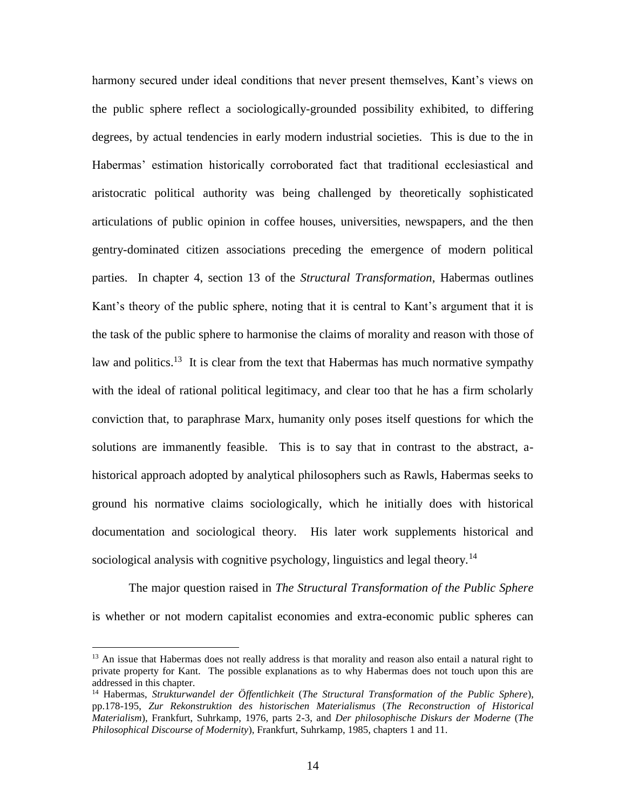harmony secured under ideal conditions that never present themselves, Kant's views on the public sphere reflect a sociologically-grounded possibility exhibited, to differing degrees, by actual tendencies in early modern industrial societies. This is due to the in Habermas' estimation historically corroborated fact that traditional ecclesiastical and aristocratic political authority was being challenged by theoretically sophisticated articulations of public opinion in coffee houses, universities, newspapers, and the then gentry-dominated citizen associations preceding the emergence of modern political parties. In chapter 4, section 13 of the *Structural Transformation*, Habermas outlines Kant's theory of the public sphere, noting that it is central to Kant's argument that it is the task of the public sphere to harmonise the claims of morality and reason with those of law and politics.<sup>13</sup> It is clear from the text that Habermas has much normative sympathy with the ideal of rational political legitimacy, and clear too that he has a firm scholarly conviction that, to paraphrase Marx, humanity only poses itself questions for which the solutions are immanently feasible. This is to say that in contrast to the abstract, ahistorical approach adopted by analytical philosophers such as Rawls, Habermas seeks to ground his normative claims sociologically, which he initially does with historical documentation and sociological theory. His later work supplements historical and sociological analysis with cognitive psychology, linguistics and legal theory.<sup>14</sup>

The major question raised in *The Structural Transformation of the Public Sphere* is whether or not modern capitalist economies and extra-economic public spheres can

<sup>&</sup>lt;sup>13</sup> An issue that Habermas does not really address is that morality and reason also entail a natural right to private property for Kant. The possible explanations as to why Habermas does not touch upon this are addressed in this chapter.

<sup>14</sup> Habermas, *Strukturwandel der Öffentlichkeit* (*The Structural Transformation of the Public Sphere*), pp.178-195, *Zur Rekonstruktion des historischen Materialismus* (*The Reconstruction of Historical Materialism*), Frankfurt, Suhrkamp, 1976, parts 2-3, and *Der philosophische Diskurs der Moderne* (*The Philosophical Discourse of Modernity*), Frankfurt, Suhrkamp, 1985, chapters 1 and 11.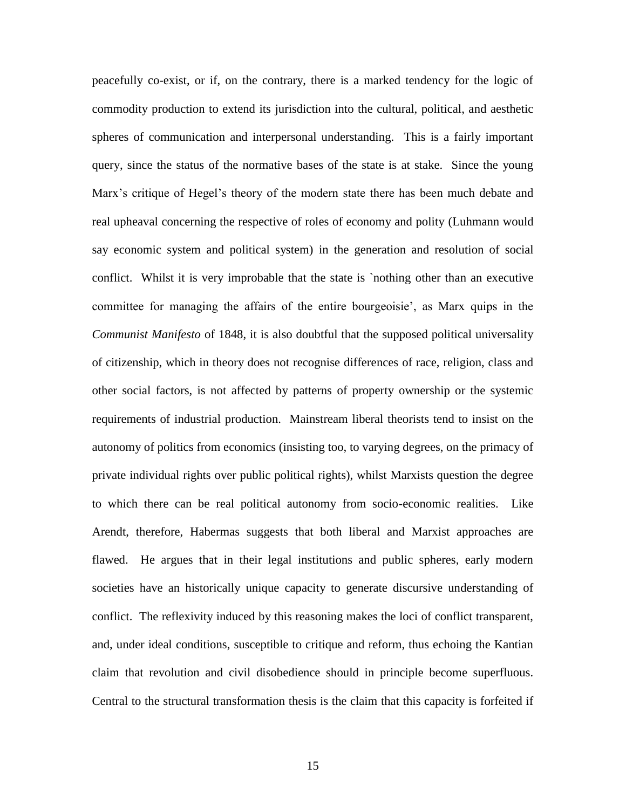peacefully co-exist, or if, on the contrary, there is a marked tendency for the logic of commodity production to extend its jurisdiction into the cultural, political, and aesthetic spheres of communication and interpersonal understanding. This is a fairly important query, since the status of the normative bases of the state is at stake. Since the young Marx's critique of Hegel's theory of the modern state there has been much debate and real upheaval concerning the respective of roles of economy and polity (Luhmann would say economic system and political system) in the generation and resolution of social conflict. Whilst it is very improbable that the state is `nothing other than an executive committee for managing the affairs of the entire bourgeoisie', as Marx quips in the *Communist Manifesto* of 1848, it is also doubtful that the supposed political universality of citizenship, which in theory does not recognise differences of race, religion, class and other social factors, is not affected by patterns of property ownership or the systemic requirements of industrial production. Mainstream liberal theorists tend to insist on the autonomy of politics from economics (insisting too, to varying degrees, on the primacy of private individual rights over public political rights), whilst Marxists question the degree to which there can be real political autonomy from socio-economic realities. Like Arendt, therefore, Habermas suggests that both liberal and Marxist approaches are flawed. He argues that in their legal institutions and public spheres, early modern societies have an historically unique capacity to generate discursive understanding of conflict. The reflexivity induced by this reasoning makes the loci of conflict transparent, and, under ideal conditions, susceptible to critique and reform, thus echoing the Kantian claim that revolution and civil disobedience should in principle become superfluous. Central to the structural transformation thesis is the claim that this capacity is forfeited if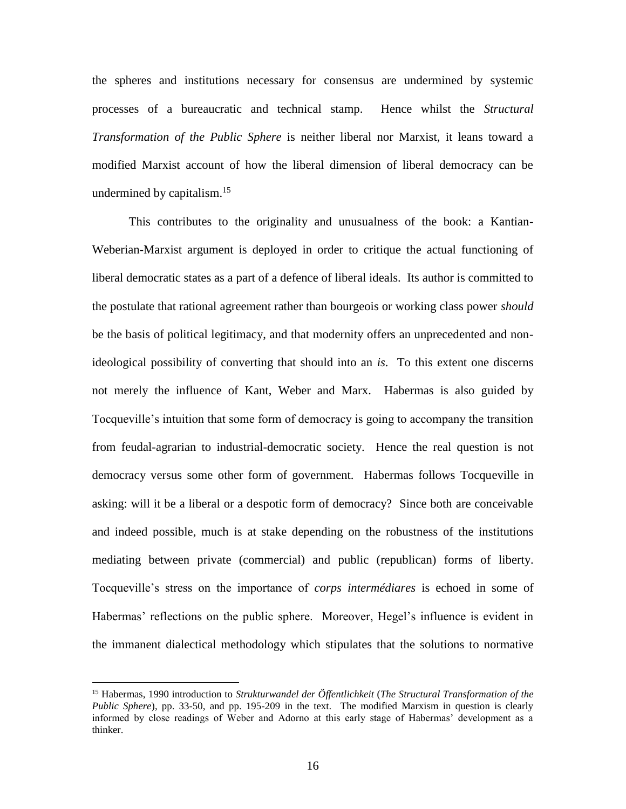the spheres and institutions necessary for consensus are undermined by systemic processes of a bureaucratic and technical stamp. Hence whilst the *Structural Transformation of the Public Sphere* is neither liberal nor Marxist, it leans toward a modified Marxist account of how the liberal dimension of liberal democracy can be undermined by capitalism.<sup>15</sup>

This contributes to the originality and unusualness of the book: a Kantian-Weberian-Marxist argument is deployed in order to critique the actual functioning of liberal democratic states as a part of a defence of liberal ideals. Its author is committed to the postulate that rational agreement rather than bourgeois or working class power *should* be the basis of political legitimacy, and that modernity offers an unprecedented and nonideological possibility of converting that should into an *is*. To this extent one discerns not merely the influence of Kant, Weber and Marx. Habermas is also guided by Tocqueville's intuition that some form of democracy is going to accompany the transition from feudal-agrarian to industrial-democratic society. Hence the real question is not democracy versus some other form of government. Habermas follows Tocqueville in asking: will it be a liberal or a despotic form of democracy? Since both are conceivable and indeed possible, much is at stake depending on the robustness of the institutions mediating between private (commercial) and public (republican) forms of liberty. Tocqueville's stress on the importance of *corps intermédiares* is echoed in some of Habermas' reflections on the public sphere. Moreover, Hegel's influence is evident in the immanent dialectical methodology which stipulates that the solutions to normative

<sup>15</sup> Habermas, 1990 introduction to *Strukturwandel der Öffentlichkeit* (*The Structural Transformation of the Public Sphere*), pp. 33-50, and pp. 195-209 in the text. The modified Marxism in question is clearly informed by close readings of Weber and Adorno at this early stage of Habermas' development as a thinker.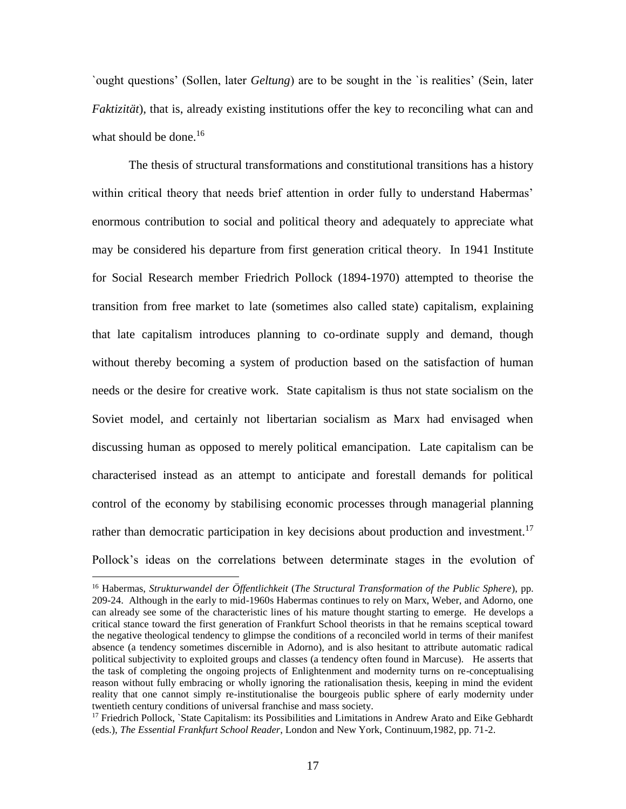`ought questions' (Sollen, later *Geltung*) are to be sought in the `is realities' (Sein, later *Faktizität*), that is, already existing institutions offer the key to reconciling what can and what should be done.<sup>16</sup>

The thesis of structural transformations and constitutional transitions has a history within critical theory that needs brief attention in order fully to understand Habermas' enormous contribution to social and political theory and adequately to appreciate what may be considered his departure from first generation critical theory. In 1941 Institute for Social Research member Friedrich Pollock (1894-1970) attempted to theorise the transition from free market to late (sometimes also called state) capitalism, explaining that late capitalism introduces planning to co-ordinate supply and demand, though without thereby becoming a system of production based on the satisfaction of human needs or the desire for creative work. State capitalism is thus not state socialism on the Soviet model, and certainly not libertarian socialism as Marx had envisaged when discussing human as opposed to merely political emancipation. Late capitalism can be characterised instead as an attempt to anticipate and forestall demands for political control of the economy by stabilising economic processes through managerial planning rather than democratic participation in key decisions about production and investment.<sup>17</sup> Pollock's ideas on the correlations between determinate stages in the evolution of

<sup>16</sup> Habermas, *Strukturwandel der Öffentlichkeit* (*The Structural Transformation of the Public Sphere*), pp. 209-24. Although in the early to mid-1960s Habermas continues to rely on Marx, Weber, and Adorno, one can already see some of the characteristic lines of his mature thought starting to emerge. He develops a critical stance toward the first generation of Frankfurt School theorists in that he remains sceptical toward the negative theological tendency to glimpse the conditions of a reconciled world in terms of their manifest absence (a tendency sometimes discernible in Adorno), and is also hesitant to attribute automatic radical political subjectivity to exploited groups and classes (a tendency often found in Marcuse). He asserts that the task of completing the ongoing projects of Enlightenment and modernity turns on re-conceptualising reason without fully embracing or wholly ignoring the rationalisation thesis, keeping in mind the evident reality that one cannot simply re-institutionalise the bourgeois public sphere of early modernity under twentieth century conditions of universal franchise and mass society.

<sup>&</sup>lt;sup>17</sup> Friedrich Pollock, `State Capitalism: its Possibilities and Limitations in Andrew Arato and Eike Gebhardt (eds.), *The Essential Frankfurt School Reader*, London and New York, Continuum,1982, pp. 71-2.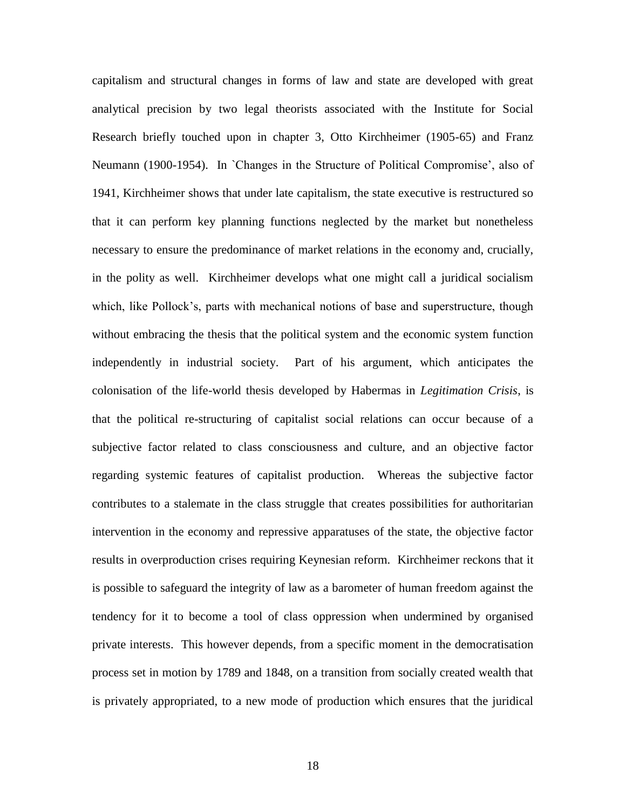capitalism and structural changes in forms of law and state are developed with great analytical precision by two legal theorists associated with the Institute for Social Research briefly touched upon in chapter 3, Otto Kirchheimer (1905-65) and Franz Neumann (1900-1954). In `Changes in the Structure of Political Compromise', also of 1941, Kirchheimer shows that under late capitalism, the state executive is restructured so that it can perform key planning functions neglected by the market but nonetheless necessary to ensure the predominance of market relations in the economy and, crucially, in the polity as well. Kirchheimer develops what one might call a juridical socialism which, like Pollock's, parts with mechanical notions of base and superstructure, though without embracing the thesis that the political system and the economic system function independently in industrial society. Part of his argument, which anticipates the colonisation of the life-world thesis developed by Habermas in *Legitimation Crisis*, is that the political re-structuring of capitalist social relations can occur because of a subjective factor related to class consciousness and culture, and an objective factor regarding systemic features of capitalist production. Whereas the subjective factor contributes to a stalemate in the class struggle that creates possibilities for authoritarian intervention in the economy and repressive apparatuses of the state, the objective factor results in overproduction crises requiring Keynesian reform. Kirchheimer reckons that it is possible to safeguard the integrity of law as a barometer of human freedom against the tendency for it to become a tool of class oppression when undermined by organised private interests. This however depends, from a specific moment in the democratisation process set in motion by 1789 and 1848, on a transition from socially created wealth that is privately appropriated, to a new mode of production which ensures that the juridical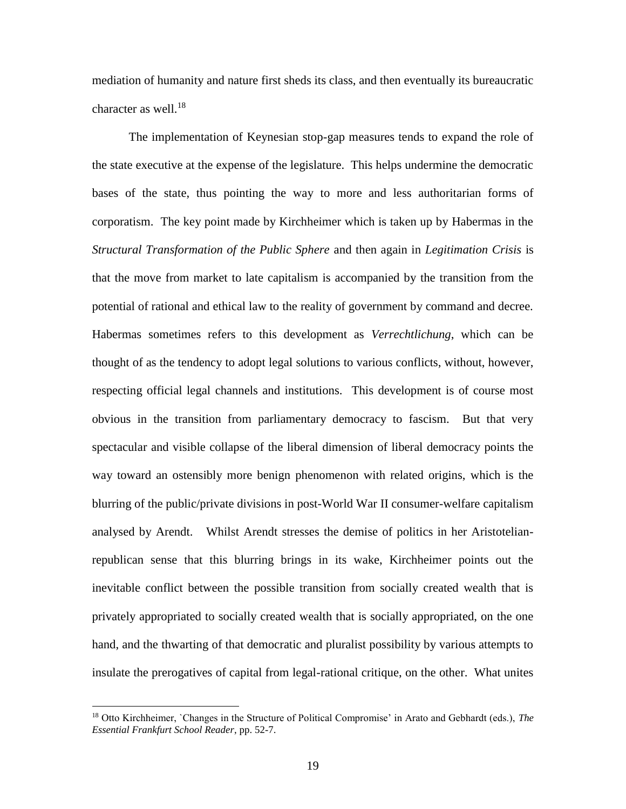mediation of humanity and nature first sheds its class, and then eventually its bureaucratic character as well.<sup>18</sup>

The implementation of Keynesian stop-gap measures tends to expand the role of the state executive at the expense of the legislature. This helps undermine the democratic bases of the state, thus pointing the way to more and less authoritarian forms of corporatism. The key point made by Kirchheimer which is taken up by Habermas in the *Structural Transformation of the Public Sphere* and then again in *Legitimation Crisis* is that the move from market to late capitalism is accompanied by the transition from the potential of rational and ethical law to the reality of government by command and decree. Habermas sometimes refers to this development as *Verrechtlichung*, which can be thought of as the tendency to adopt legal solutions to various conflicts, without, however, respecting official legal channels and institutions. This development is of course most obvious in the transition from parliamentary democracy to fascism. But that very spectacular and visible collapse of the liberal dimension of liberal democracy points the way toward an ostensibly more benign phenomenon with related origins, which is the blurring of the public/private divisions in post-World War II consumer-welfare capitalism analysed by Arendt. Whilst Arendt stresses the demise of politics in her Aristotelianrepublican sense that this blurring brings in its wake, Kirchheimer points out the inevitable conflict between the possible transition from socially created wealth that is privately appropriated to socially created wealth that is socially appropriated, on the one hand, and the thwarting of that democratic and pluralist possibility by various attempts to insulate the prerogatives of capital from legal-rational critique, on the other. What unites

<sup>18</sup> Otto Kirchheimer, `Changes in the Structure of Political Compromise' in Arato and Gebhardt (eds.), *The Essential Frankfurt School Reader*, pp. 52-7.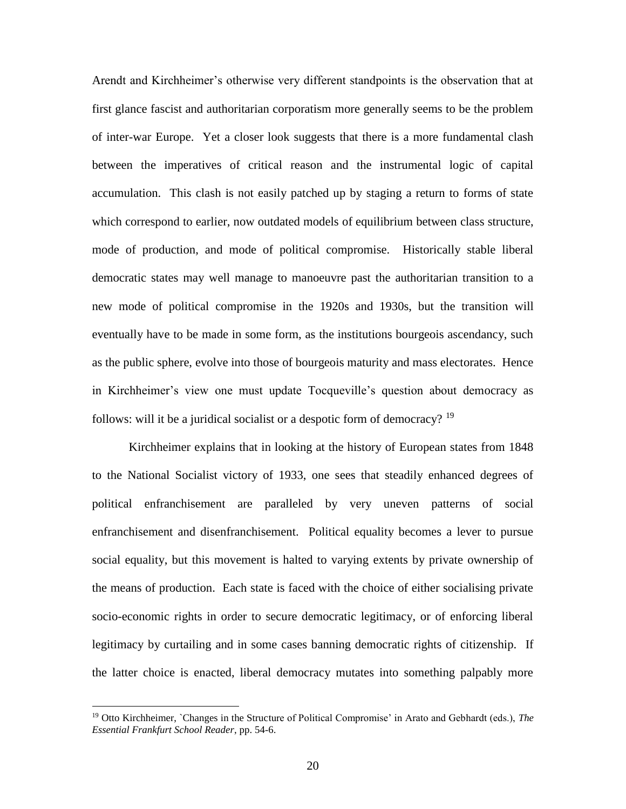Arendt and Kirchheimer's otherwise very different standpoints is the observation that at first glance fascist and authoritarian corporatism more generally seems to be the problem of inter-war Europe. Yet a closer look suggests that there is a more fundamental clash between the imperatives of critical reason and the instrumental logic of capital accumulation. This clash is not easily patched up by staging a return to forms of state which correspond to earlier, now outdated models of equilibrium between class structure, mode of production, and mode of political compromise. Historically stable liberal democratic states may well manage to manoeuvre past the authoritarian transition to a new mode of political compromise in the 1920s and 1930s, but the transition will eventually have to be made in some form, as the institutions bourgeois ascendancy, such as the public sphere, evolve into those of bourgeois maturity and mass electorates. Hence in Kirchheimer's view one must update Tocqueville's question about democracy as follows: will it be a juridical socialist or a despotic form of democracy? <sup>19</sup>

Kirchheimer explains that in looking at the history of European states from 1848 to the National Socialist victory of 1933, one sees that steadily enhanced degrees of political enfranchisement are paralleled by very uneven patterns of social enfranchisement and disenfranchisement. Political equality becomes a lever to pursue social equality, but this movement is halted to varying extents by private ownership of the means of production. Each state is faced with the choice of either socialising private socio-economic rights in order to secure democratic legitimacy, or of enforcing liberal legitimacy by curtailing and in some cases banning democratic rights of citizenship. If the latter choice is enacted, liberal democracy mutates into something palpably more

<sup>19</sup> Otto Kirchheimer, `Changes in the Structure of Political Compromise' in Arato and Gebhardt (eds.), *The Essential Frankfurt School Reader*, pp. 54-6.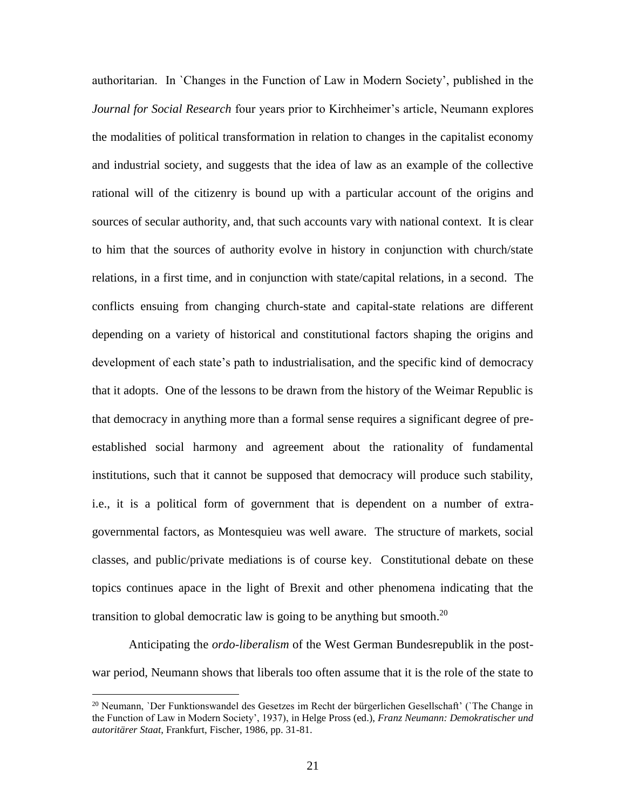authoritarian. In `Changes in the Function of Law in Modern Society', published in the *Journal for Social Research* four years prior to Kirchheimer's article, Neumann explores the modalities of political transformation in relation to changes in the capitalist economy and industrial society, and suggests that the idea of law as an example of the collective rational will of the citizenry is bound up with a particular account of the origins and sources of secular authority, and, that such accounts vary with national context. It is clear to him that the sources of authority evolve in history in conjunction with church/state relations, in a first time, and in conjunction with state/capital relations, in a second. The conflicts ensuing from changing church-state and capital-state relations are different depending on a variety of historical and constitutional factors shaping the origins and development of each state's path to industrialisation, and the specific kind of democracy that it adopts. One of the lessons to be drawn from the history of the Weimar Republic is that democracy in anything more than a formal sense requires a significant degree of preestablished social harmony and agreement about the rationality of fundamental institutions, such that it cannot be supposed that democracy will produce such stability, i.e., it is a political form of government that is dependent on a number of extragovernmental factors, as Montesquieu was well aware. The structure of markets, social classes, and public/private mediations is of course key. Constitutional debate on these topics continues apace in the light of Brexit and other phenomena indicating that the transition to global democratic law is going to be anything but smooth.<sup>20</sup>

Anticipating the *ordo-liberalism* of the West German Bundesrepublik in the postwar period, Neumann shows that liberals too often assume that it is the role of the state to

<sup>&</sup>lt;sup>20</sup> Neumann, 'Der Funktionswandel des Gesetzes im Recht der bürgerlichen Gesellschaft' ('The Change in the Function of Law in Modern Society', 1937), in Helge Pross (ed.), *Franz Neumann: Demokratischer und autoritärer Staat*, Frankfurt, Fischer, 1986, pp. 31-81.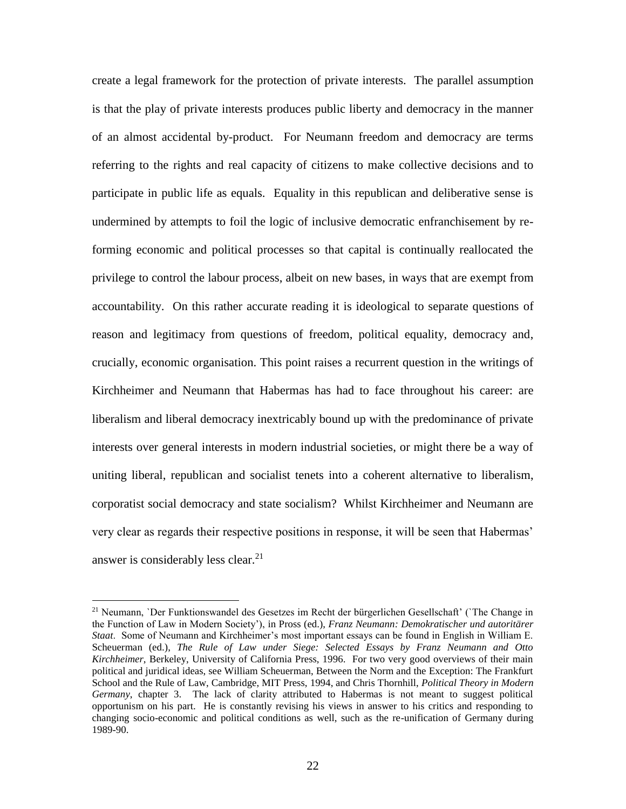create a legal framework for the protection of private interests. The parallel assumption is that the play of private interests produces public liberty and democracy in the manner of an almost accidental by-product. For Neumann freedom and democracy are terms referring to the rights and real capacity of citizens to make collective decisions and to participate in public life as equals. Equality in this republican and deliberative sense is undermined by attempts to foil the logic of inclusive democratic enfranchisement by reforming economic and political processes so that capital is continually reallocated the privilege to control the labour process, albeit on new bases, in ways that are exempt from accountability. On this rather accurate reading it is ideological to separate questions of reason and legitimacy from questions of freedom, political equality, democracy and, crucially, economic organisation. This point raises a recurrent question in the writings of Kirchheimer and Neumann that Habermas has had to face throughout his career: are liberalism and liberal democracy inextricably bound up with the predominance of private interests over general interests in modern industrial societies, or might there be a way of uniting liberal, republican and socialist tenets into a coherent alternative to liberalism, corporatist social democracy and state socialism? Whilst Kirchheimer and Neumann are very clear as regards their respective positions in response, it will be seen that Habermas' answer is considerably less clear. $^{21}$ 

<sup>&</sup>lt;sup>21</sup> Neumann, 'Der Funktionswandel des Gesetzes im Recht der bürgerlichen Gesellschaft' ('The Change in the Function of Law in Modern Society'), in Pross (ed.), *Franz Neumann: Demokratischer und autoritärer Staat*. Some of Neumann and Kirchheimer's most important essays can be found in English in William E. Scheuerman (ed.), *The Rule of Law under Siege: Selected Essays by Franz Neumann and Otto Kirchheimer*, Berkeley, University of California Press, 1996. For two very good overviews of their main political and juridical ideas, see William Scheuerman, Between the Norm and the Exception: The Frankfurt School and the Rule of Law, Cambridge, MIT Press, 1994, and Chris Thornhill, *Political Theory in Modern Germany*, chapter 3. The lack of clarity attributed to Habermas is not meant to suggest political opportunism on his part. He is constantly revising his views in answer to his critics and responding to changing socio-economic and political conditions as well, such as the re-unification of Germany during 1989-90.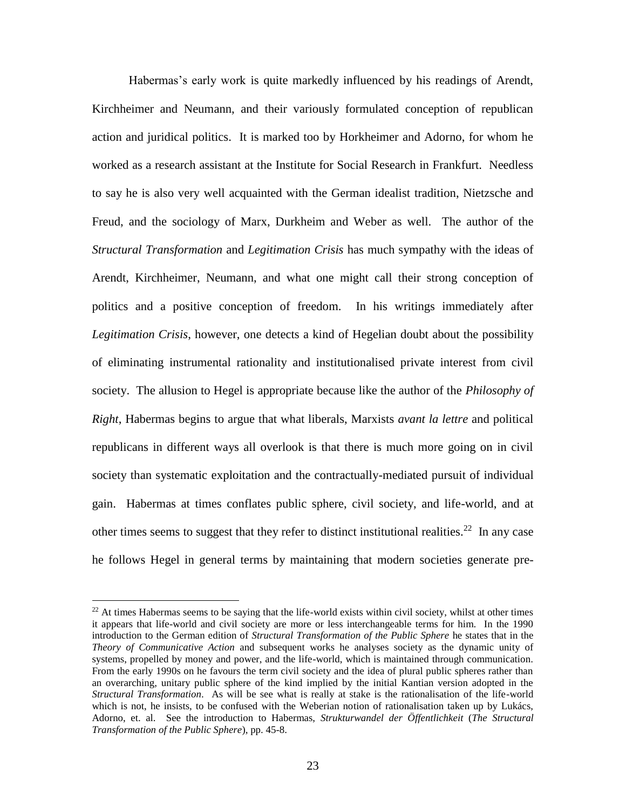Habermas's early work is quite markedly influenced by his readings of Arendt, Kirchheimer and Neumann, and their variously formulated conception of republican action and juridical politics. It is marked too by Horkheimer and Adorno, for whom he worked as a research assistant at the Institute for Social Research in Frankfurt. Needless to say he is also very well acquainted with the German idealist tradition, Nietzsche and Freud, and the sociology of Marx, Durkheim and Weber as well. The author of the *Structural Transformation* and *Legitimation Crisis* has much sympathy with the ideas of Arendt, Kirchheimer, Neumann, and what one might call their strong conception of politics and a positive conception of freedom. In his writings immediately after *Legitimation Crisis*, however, one detects a kind of Hegelian doubt about the possibility of eliminating instrumental rationality and institutionalised private interest from civil society. The allusion to Hegel is appropriate because like the author of the *Philosophy of Right*, Habermas begins to argue that what liberals, Marxists *avant la lettre* and political republicans in different ways all overlook is that there is much more going on in civil society than systematic exploitation and the contractually-mediated pursuit of individual gain. Habermas at times conflates public sphere, civil society, and life-world, and at other times seems to suggest that they refer to distinct institutional realities.<sup>22</sup> In any case he follows Hegel in general terms by maintaining that modern societies generate pre-

 $^{22}$  At times Habermas seems to be saying that the life-world exists within civil society, whilst at other times it appears that life-world and civil society are more or less interchangeable terms for him. In the 1990 introduction to the German edition of *Structural Transformation of the Public Sphere* he states that in the *Theory of Communicative Action* and subsequent works he analyses society as the dynamic unity of systems, propelled by money and power, and the life-world, which is maintained through communication. From the early 1990s on he favours the term civil society and the idea of plural public spheres rather than an overarching, unitary public sphere of the kind implied by the initial Kantian version adopted in the *Structural Transformation*. As will be see what is really at stake is the rationalisation of the life-world which is not, he insists, to be confused with the Weberian notion of rationalisation taken up by Lukács, Adorno, et. al. See the introduction to Habermas, *Strukturwandel der Öffentlichkeit* (*The Structural Transformation of the Public Sphere*), pp. 45-8.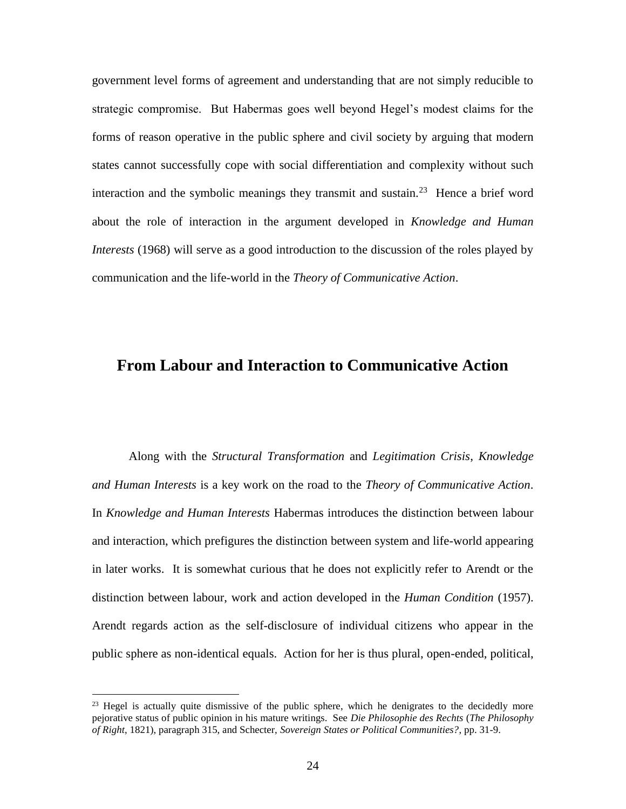government level forms of agreement and understanding that are not simply reducible to strategic compromise. But Habermas goes well beyond Hegel's modest claims for the forms of reason operative in the public sphere and civil society by arguing that modern states cannot successfully cope with social differentiation and complexity without such interaction and the symbolic meanings they transmit and sustain.<sup>23</sup> Hence a brief word about the role of interaction in the argument developed in *Knowledge and Human Interests* (1968) will serve as a good introduction to the discussion of the roles played by communication and the life-world in the *Theory of Communicative Action*.

#### **From Labour and Interaction to Communicative Action**

Along with the *Structural Transformation* and *Legitimation Crisis*, *Knowledge and Human Interests* is a key work on the road to the *Theory of Communicative Action*. In *Knowledge and Human Interests* Habermas introduces the distinction between labour and interaction, which prefigures the distinction between system and life-world appearing in later works. It is somewhat curious that he does not explicitly refer to Arendt or the distinction between labour, work and action developed in the *Human Condition* (1957). Arendt regards action as the self-disclosure of individual citizens who appear in the public sphere as non-identical equals. Action for her is thus plural, open-ended, political,

 $^{23}$  Hegel is actually quite dismissive of the public sphere, which he denigrates to the decidedly more pejorative status of public opinion in his mature writings. See *Die Philosophie des Rechts* (*The Philosophy of Right*, 1821), paragraph 315, and Schecter, *Sovereign States or Political Communities?*, pp. 31-9.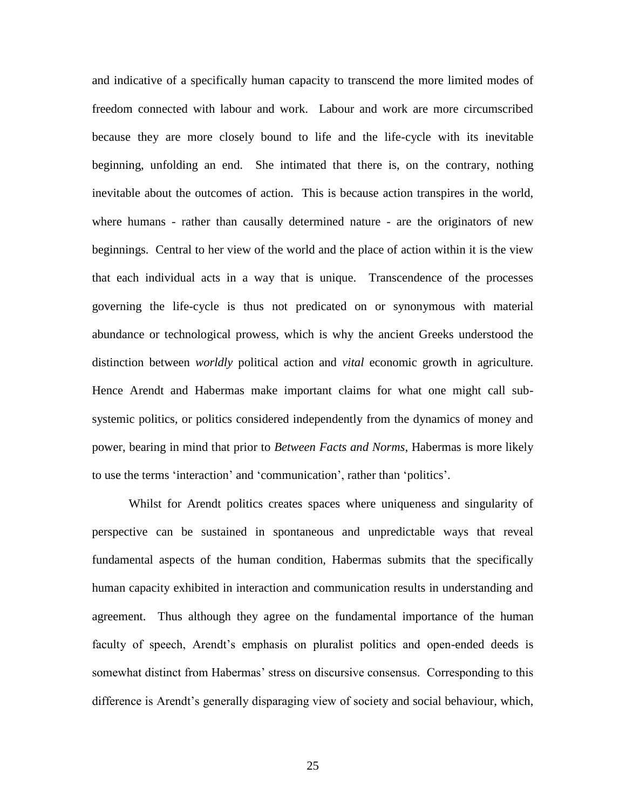and indicative of a specifically human capacity to transcend the more limited modes of freedom connected with labour and work. Labour and work are more circumscribed because they are more closely bound to life and the life-cycle with its inevitable beginning, unfolding an end. She intimated that there is, on the contrary, nothing inevitable about the outcomes of action. This is because action transpires in the world, where humans - rather than causally determined nature - are the originators of new beginnings. Central to her view of the world and the place of action within it is the view that each individual acts in a way that is unique. Transcendence of the processes governing the life-cycle is thus not predicated on or synonymous with material abundance or technological prowess, which is why the ancient Greeks understood the distinction between *worldly* political action and *vital* economic growth in agriculture. Hence Arendt and Habermas make important claims for what one might call subsystemic politics, or politics considered independently from the dynamics of money and power, bearing in mind that prior to *Between Facts and Norms*, Habermas is more likely to use the terms 'interaction' and 'communication', rather than 'politics'.

Whilst for Arendt politics creates spaces where uniqueness and singularity of perspective can be sustained in spontaneous and unpredictable ways that reveal fundamental aspects of the human condition, Habermas submits that the specifically human capacity exhibited in interaction and communication results in understanding and agreement. Thus although they agree on the fundamental importance of the human faculty of speech, Arendt's emphasis on pluralist politics and open-ended deeds is somewhat distinct from Habermas' stress on discursive consensus. Corresponding to this difference is Arendt's generally disparaging view of society and social behaviour, which,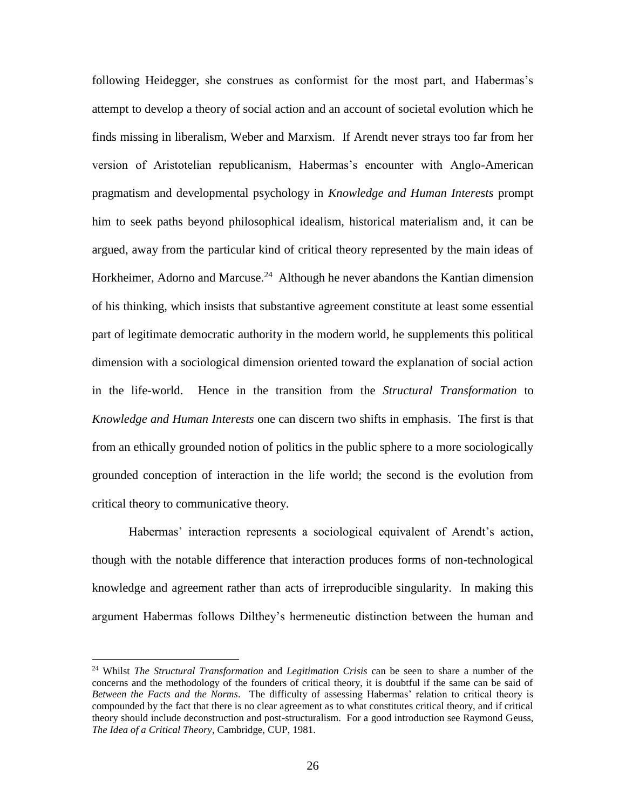following Heidegger, she construes as conformist for the most part, and Habermas's attempt to develop a theory of social action and an account of societal evolution which he finds missing in liberalism, Weber and Marxism. If Arendt never strays too far from her version of Aristotelian republicanism, Habermas's encounter with Anglo-American pragmatism and developmental psychology in *Knowledge and Human Interests* prompt him to seek paths beyond philosophical idealism, historical materialism and, it can be argued, away from the particular kind of critical theory represented by the main ideas of Horkheimer, Adorno and Marcuse.<sup>24</sup> Although he never abandons the Kantian dimension of his thinking, which insists that substantive agreement constitute at least some essential part of legitimate democratic authority in the modern world, he supplements this political dimension with a sociological dimension oriented toward the explanation of social action in the life-world. Hence in the transition from the *Structural Transformation* to *Knowledge and Human Interests* one can discern two shifts in emphasis. The first is that from an ethically grounded notion of politics in the public sphere to a more sociologically grounded conception of interaction in the life world; the second is the evolution from critical theory to communicative theory.

Habermas' interaction represents a sociological equivalent of Arendt's action, though with the notable difference that interaction produces forms of non-technological knowledge and agreement rather than acts of irreproducible singularity. In making this argument Habermas follows Dilthey's hermeneutic distinction between the human and

<sup>24</sup> Whilst *The Structural Transformation* and *Legitimation Crisis* can be seen to share a number of the concerns and the methodology of the founders of critical theory, it is doubtful if the same can be said of *Between the Facts and the Norms*. The difficulty of assessing Habermas' relation to critical theory is compounded by the fact that there is no clear agreement as to what constitutes critical theory, and if critical theory should include deconstruction and post-structuralism. For a good introduction see Raymond Geuss, *The Idea of a Critical Theory*, Cambridge, CUP, 1981.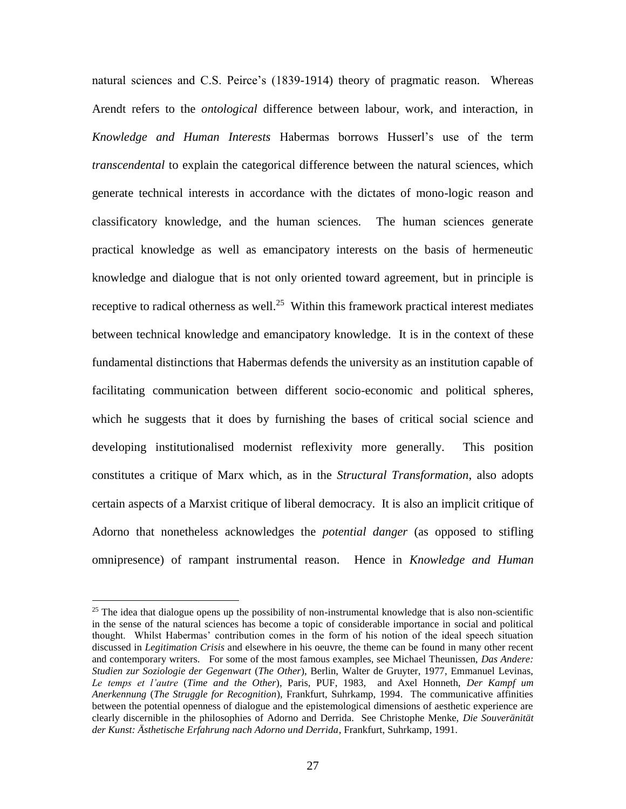natural sciences and C.S. Peirce's (1839-1914) theory of pragmatic reason. Whereas Arendt refers to the *ontological* difference between labour, work, and interaction, in *Knowledge and Human Interests* Habermas borrows Husserl's use of the term *transcendental* to explain the categorical difference between the natural sciences, which generate technical interests in accordance with the dictates of mono-logic reason and classificatory knowledge, and the human sciences. The human sciences generate practical knowledge as well as emancipatory interests on the basis of hermeneutic knowledge and dialogue that is not only oriented toward agreement, but in principle is receptive to radical otherness as well.<sup>25</sup> Within this framework practical interest mediates between technical knowledge and emancipatory knowledge. It is in the context of these fundamental distinctions that Habermas defends the university as an institution capable of facilitating communication between different socio-economic and political spheres, which he suggests that it does by furnishing the bases of critical social science and developing institutionalised modernist reflexivity more generally. This position constitutes a critique of Marx which, as in the *Structural Transformation*, also adopts certain aspects of a Marxist critique of liberal democracy. It is also an implicit critique of Adorno that nonetheless acknowledges the *potential danger* (as opposed to stifling omnipresence) of rampant instrumental reason. Hence in *Knowledge and Human* 

<sup>&</sup>lt;sup>25</sup> The idea that dialogue opens up the possibility of non-instrumental knowledge that is also non-scientific in the sense of the natural sciences has become a topic of considerable importance in social and political thought. Whilst Habermas' contribution comes in the form of his notion of the ideal speech situation discussed in *Legitimation Crisis* and elsewhere in his oeuvre, the theme can be found in many other recent and contemporary writers. For some of the most famous examples, see Michael Theunissen, *Das Andere: Studien zur Soziologie der Gegenwart* (*The Other*), Berlin, Walter de Gruyter, 1977, Emmanuel Levinas, *Le temps et l'autre* (*Time and the Other*), Paris, PUF, 1983, and Axel Honneth, *Der Kampf um Anerkennung* (*The Struggle for Recognition*), Frankfurt, Suhrkamp, 1994. The communicative affinities between the potential openness of dialogue and the epistemological dimensions of aesthetic experience are clearly discernible in the philosophies of Adorno and Derrida. See Christophe Menke, *Die Souveränität der Kunst: Ästhetische Erfahrung nach Adorno und Derrida*, Frankfurt, Suhrkamp, 1991.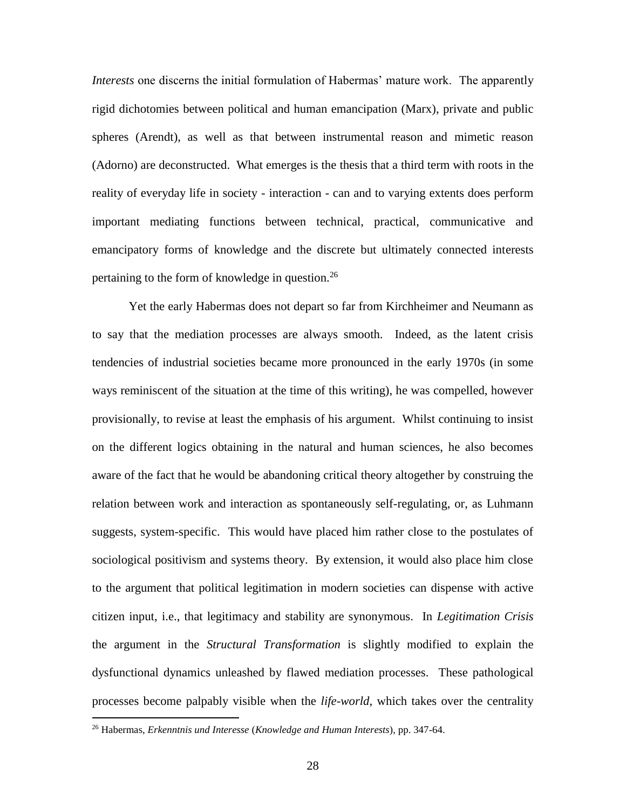*Interests* one discerns the initial formulation of Habermas' mature work. The apparently rigid dichotomies between political and human emancipation (Marx), private and public spheres (Arendt), as well as that between instrumental reason and mimetic reason (Adorno) are deconstructed. What emerges is the thesis that a third term with roots in the reality of everyday life in society - interaction - can and to varying extents does perform important mediating functions between technical, practical, communicative and emancipatory forms of knowledge and the discrete but ultimately connected interests pertaining to the form of knowledge in question.<sup>26</sup>

Yet the early Habermas does not depart so far from Kirchheimer and Neumann as to say that the mediation processes are always smooth. Indeed, as the latent crisis tendencies of industrial societies became more pronounced in the early 1970s (in some ways reminiscent of the situation at the time of this writing), he was compelled, however provisionally, to revise at least the emphasis of his argument. Whilst continuing to insist on the different logics obtaining in the natural and human sciences, he also becomes aware of the fact that he would be abandoning critical theory altogether by construing the relation between work and interaction as spontaneously self-regulating, or, as Luhmann suggests, system-specific. This would have placed him rather close to the postulates of sociological positivism and systems theory. By extension, it would also place him close to the argument that political legitimation in modern societies can dispense with active citizen input, i.e., that legitimacy and stability are synonymous. In *Legitimation Crisis* the argument in the *Structural Transformation* is slightly modified to explain the dysfunctional dynamics unleashed by flawed mediation processes. These pathological processes become palpably visible when the *life-world*, which takes over the centrality

<sup>26</sup> Habermas, *Erkenntnis und Interesse* (*Knowledge and Human Interests*), pp. 347-64.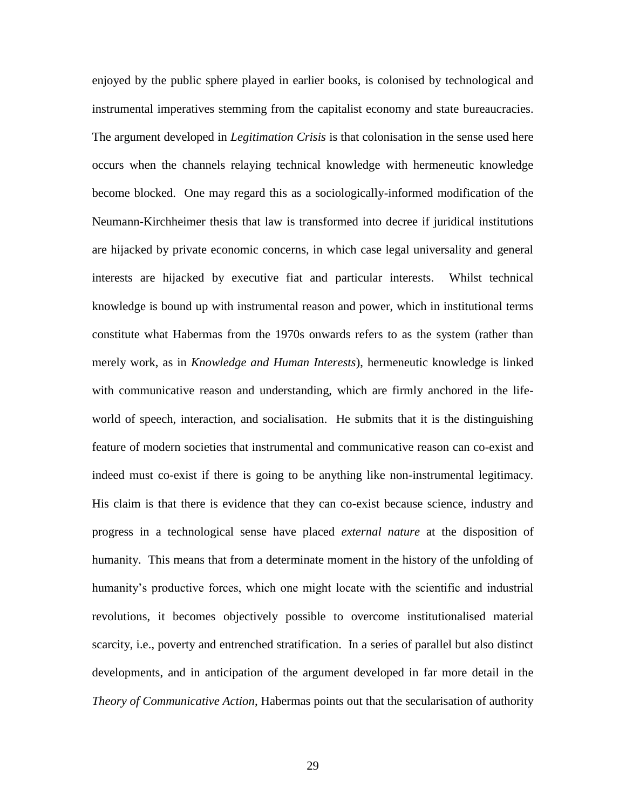enjoyed by the public sphere played in earlier books, is colonised by technological and instrumental imperatives stemming from the capitalist economy and state bureaucracies. The argument developed in *Legitimation Crisis* is that colonisation in the sense used here occurs when the channels relaying technical knowledge with hermeneutic knowledge become blocked. One may regard this as a sociologically-informed modification of the Neumann-Kirchheimer thesis that law is transformed into decree if juridical institutions are hijacked by private economic concerns, in which case legal universality and general interests are hijacked by executive fiat and particular interests. Whilst technical knowledge is bound up with instrumental reason and power, which in institutional terms constitute what Habermas from the 1970s onwards refers to as the system (rather than merely work, as in *Knowledge and Human Interests*), hermeneutic knowledge is linked with communicative reason and understanding, which are firmly anchored in the lifeworld of speech, interaction, and socialisation. He submits that it is the distinguishing feature of modern societies that instrumental and communicative reason can co-exist and indeed must co-exist if there is going to be anything like non-instrumental legitimacy. His claim is that there is evidence that they can co-exist because science, industry and progress in a technological sense have placed *external nature* at the disposition of humanity. This means that from a determinate moment in the history of the unfolding of humanity's productive forces, which one might locate with the scientific and industrial revolutions, it becomes objectively possible to overcome institutionalised material scarcity, i.e., poverty and entrenched stratification. In a series of parallel but also distinct developments, and in anticipation of the argument developed in far more detail in the *Theory of Communicative Action*, Habermas points out that the secularisation of authority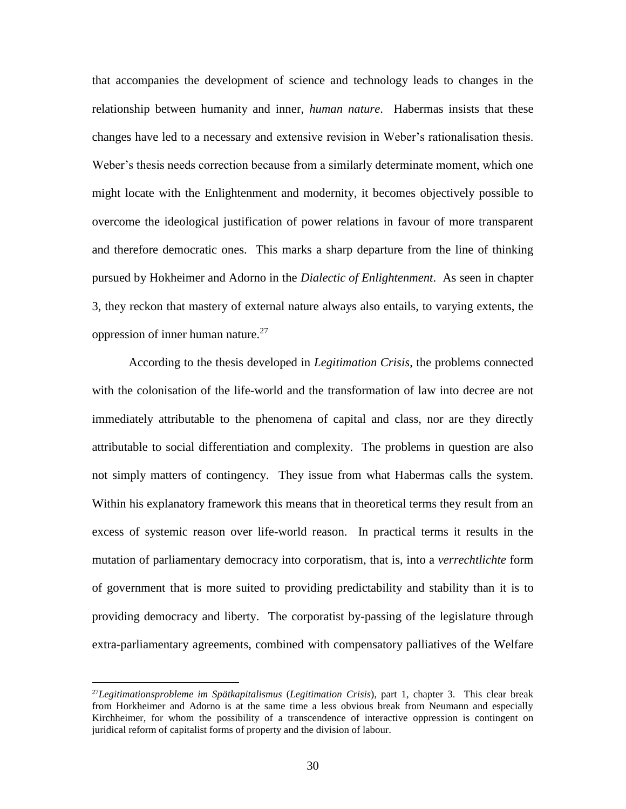that accompanies the development of science and technology leads to changes in the relationship between humanity and inner, *human nature*. Habermas insists that these changes have led to a necessary and extensive revision in Weber's rationalisation thesis. Weber's thesis needs correction because from a similarly determinate moment, which one might locate with the Enlightenment and modernity, it becomes objectively possible to overcome the ideological justification of power relations in favour of more transparent and therefore democratic ones. This marks a sharp departure from the line of thinking pursued by Hokheimer and Adorno in the *Dialectic of Enlightenment*. As seen in chapter 3, they reckon that mastery of external nature always also entails, to varying extents, the oppression of inner human nature. $27$ 

According to the thesis developed in *Legitimation Crisis*, the problems connected with the colonisation of the life-world and the transformation of law into decree are not immediately attributable to the phenomena of capital and class, nor are they directly attributable to social differentiation and complexity. The problems in question are also not simply matters of contingency. They issue from what Habermas calls the system. Within his explanatory framework this means that in theoretical terms they result from an excess of systemic reason over life-world reason. In practical terms it results in the mutation of parliamentary democracy into corporatism, that is, into a *verrechtlichte* form of government that is more suited to providing predictability and stability than it is to providing democracy and liberty. The corporatist by-passing of the legislature through extra-parliamentary agreements, combined with compensatory palliatives of the Welfare

<sup>27</sup>*Legitimationsprobleme im Spätkapitalismus* (*Legitimation Crisis*), part 1, chapter 3. This clear break from Horkheimer and Adorno is at the same time a less obvious break from Neumann and especially Kirchheimer, for whom the possibility of a transcendence of interactive oppression is contingent on juridical reform of capitalist forms of property and the division of labour.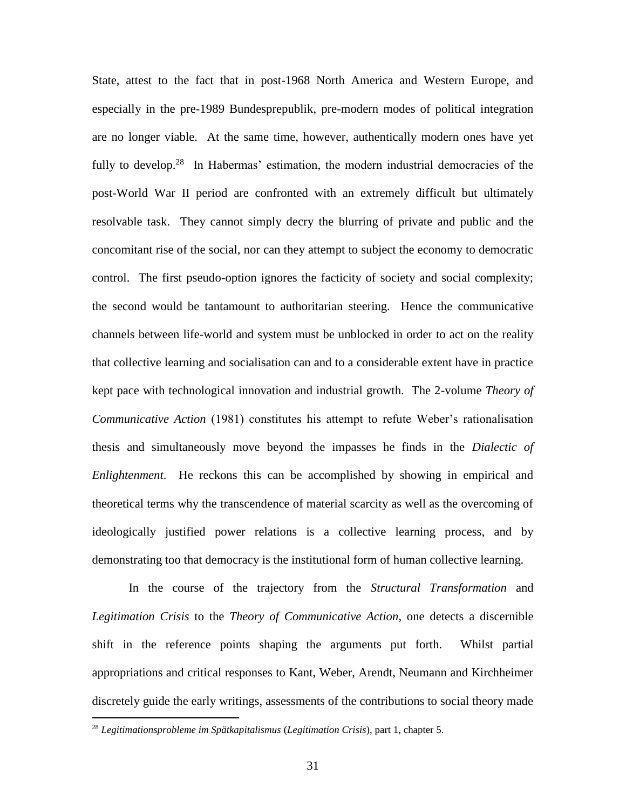State, attest to the fact that in post-1968 North America and Western Europe, and especially in the pre-1989 Bundesprepublik, pre-modern modes of political integration are no longer viable. At the same time, however, authentically modern ones have yet fully to develop.<sup>28</sup> In Habermas' estimation, the modern industrial democracies of the post-World War II period are confronted with an extremely difficult but ultimately resolvable task. They cannot simply decry the blurring of private and public and the concomitant rise of the social, nor can they attempt to subject the economy to democratic control. The first pseudo-option ignores the facticity of society and social complexity; the second would be tantamount to authoritarian steering. Hence the communicative channels between life-world and system must be unblocked in order to act on the reality that collective learning and socialisation can and to a considerable extent have in practice kept pace with technological innovation and industrial growth. The 2-volume *Theory of Communicative Action* (1981) constitutes his attempt to refute Weber's rationalisation thesis and simultaneously move beyond the impasses he finds in the *Dialectic of Enlightenment*. He reckons this can be accomplished by showing in empirical and theoretical terms why the transcendence of material scarcity as well as the overcoming of ideologically justified power relations is a collective learning process, and by demonstrating too that democracy is the institutional form of human collective learning.

In the course of the trajectory from the *Structural Transformation* and *Legitimation Crisis* to the *Theory of Communicative Action*, one detects a discernible shift in the reference points shaping the arguments put forth. Whilst partial appropriations and critical responses to Kant, Weber, Arendt, Neumann and Kirchheimer discretely guide the early writings, assessments of the contributions to social theory made

<sup>28</sup> *Legitimationsprobleme im Spätkapitalismus* (*Legitimation Crisis*), part 1, chapter 5.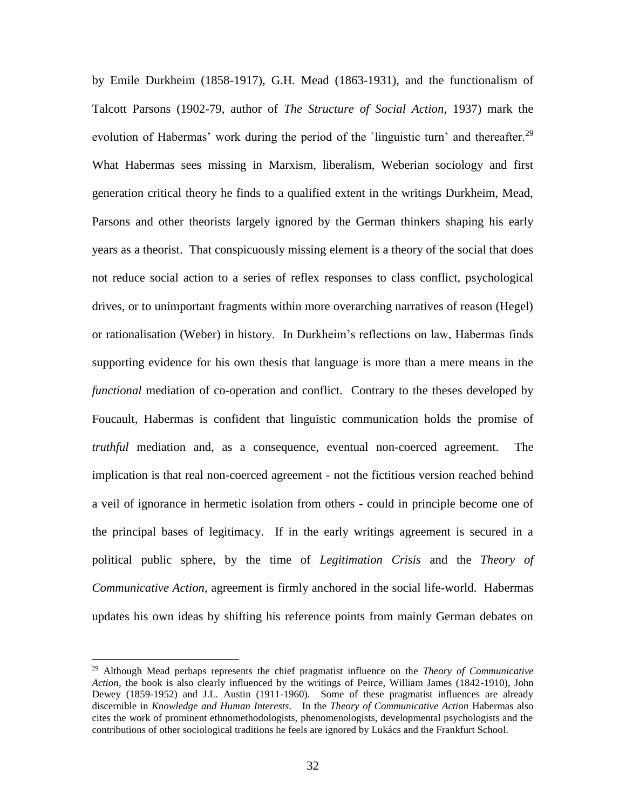by Emile Durkheim (1858-1917), G.H. Mead (1863-1931), and the functionalism of Talcott Parsons (1902-79, author of *The Structure of Social Action*, 1937) mark the evolution of Habermas' work during the period of the 'linguistic turn' and thereafter.<sup>29</sup> What Habermas sees missing in Marxism, liberalism, Weberian sociology and first generation critical theory he finds to a qualified extent in the writings Durkheim, Mead, Parsons and other theorists largely ignored by the German thinkers shaping his early years as a theorist. That conspicuously missing element is a theory of the social that does not reduce social action to a series of reflex responses to class conflict, psychological drives, or to unimportant fragments within more overarching narratives of reason (Hegel) or rationalisation (Weber) in history. In Durkheim's reflections on law, Habermas finds supporting evidence for his own thesis that language is more than a mere means in the *functional* mediation of co-operation and conflict. Contrary to the theses developed by Foucault, Habermas is confident that linguistic communication holds the promise of *truthful* mediation and, as a consequence, eventual non-coerced agreement. The implication is that real non-coerced agreement - not the fictitious version reached behind a veil of ignorance in hermetic isolation from others - could in principle become one of the principal bases of legitimacy. If in the early writings agreement is secured in a political public sphere, by the time of *Legitimation Crisis* and the *Theory of Communicative Action*, agreement is firmly anchored in the social life-world. Habermas updates his own ideas by shifting his reference points from mainly German debates on

<sup>29</sup> Although Mead perhaps represents the chief pragmatist influence on the *Theory of Communicative Action*, the book is also clearly influenced by the writings of Peirce, William James (1842-1910), John Dewey (1859-1952) and J.L. Austin (1911-1960). Some of these pragmatist influences are already discernible in *Knowledge and Human Interests*. In the *Theory of Communicative Action* Habermas also cites the work of prominent ethnomethodologists, phenomenologists, developmental psychologists and the contributions of other sociological traditions he feels are ignored by Lukács and the Frankfurt School.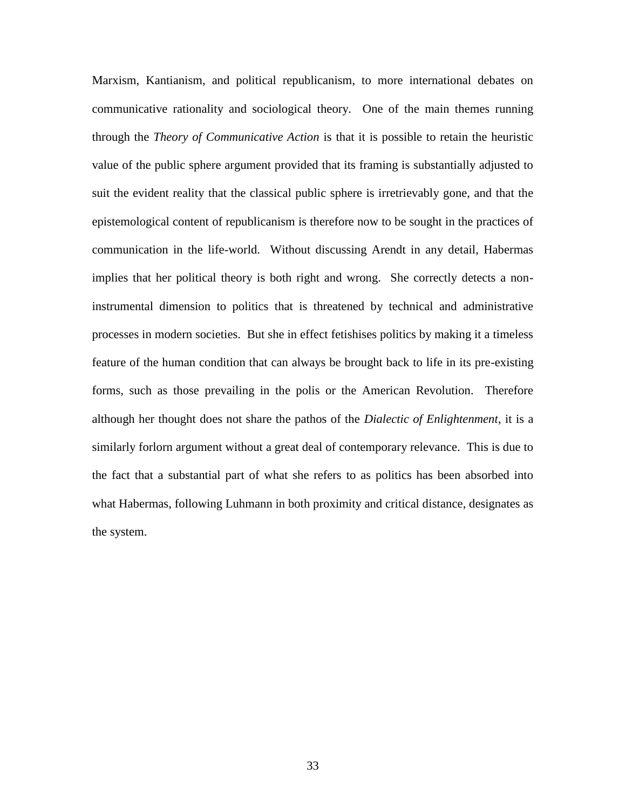Marxism, Kantianism, and political republicanism, to more international debates on communicative rationality and sociological theory. One of the main themes running through the *Theory of Communicative Action* is that it is possible to retain the heuristic value of the public sphere argument provided that its framing is substantially adjusted to suit the evident reality that the classical public sphere is irretrievably gone, and that the epistemological content of republicanism is therefore now to be sought in the practices of communication in the life-world. Without discussing Arendt in any detail, Habermas implies that her political theory is both right and wrong. She correctly detects a noninstrumental dimension to politics that is threatened by technical and administrative processes in modern societies. But she in effect fetishises politics by making it a timeless feature of the human condition that can always be brought back to life in its pre-existing forms, such as those prevailing in the polis or the American Revolution. Therefore although her thought does not share the pathos of the *Dialectic of Enlightenment*, it is a similarly forlorn argument without a great deal of contemporary relevance. This is due to the fact that a substantial part of what she refers to as politics has been absorbed into what Habermas, following Luhmann in both proximity and critical distance, designates as the system.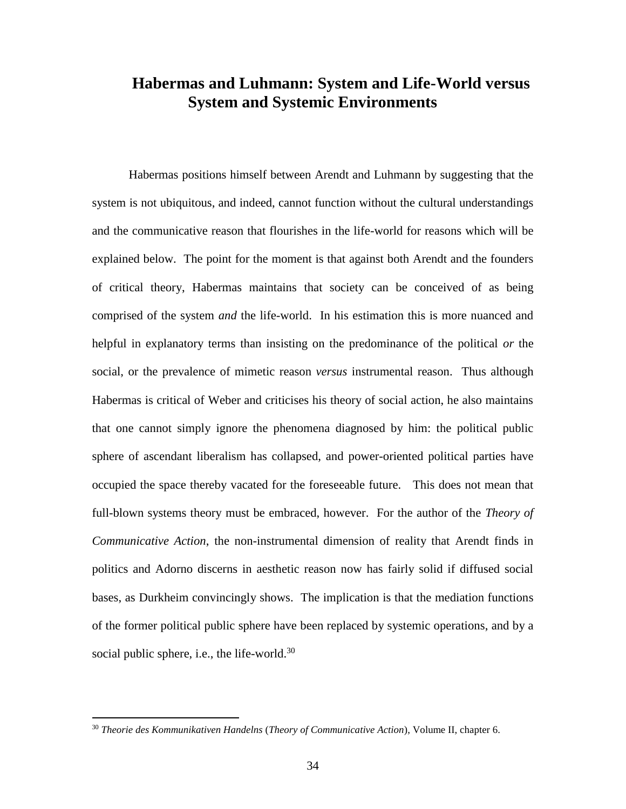#### **Habermas and Luhmann: System and Life-World versus System and Systemic Environments**

Habermas positions himself between Arendt and Luhmann by suggesting that the system is not ubiquitous, and indeed, cannot function without the cultural understandings and the communicative reason that flourishes in the life-world for reasons which will be explained below. The point for the moment is that against both Arendt and the founders of critical theory, Habermas maintains that society can be conceived of as being comprised of the system *and* the life-world. In his estimation this is more nuanced and helpful in explanatory terms than insisting on the predominance of the political *or* the social, or the prevalence of mimetic reason *versus* instrumental reason. Thus although Habermas is critical of Weber and criticises his theory of social action, he also maintains that one cannot simply ignore the phenomena diagnosed by him: the political public sphere of ascendant liberalism has collapsed, and power-oriented political parties have occupied the space thereby vacated for the foreseeable future. This does not mean that full-blown systems theory must be embraced, however. For the author of the *Theory of Communicative Action*, the non-instrumental dimension of reality that Arendt finds in politics and Adorno discerns in aesthetic reason now has fairly solid if diffused social bases, as Durkheim convincingly shows. The implication is that the mediation functions of the former political public sphere have been replaced by systemic operations, and by a social public sphere, i.e., the life-world. $30$ 

<sup>30</sup> *Theorie des Kommunikativen Handelns* (*Theory of Communicative Action*), Volume II, chapter 6.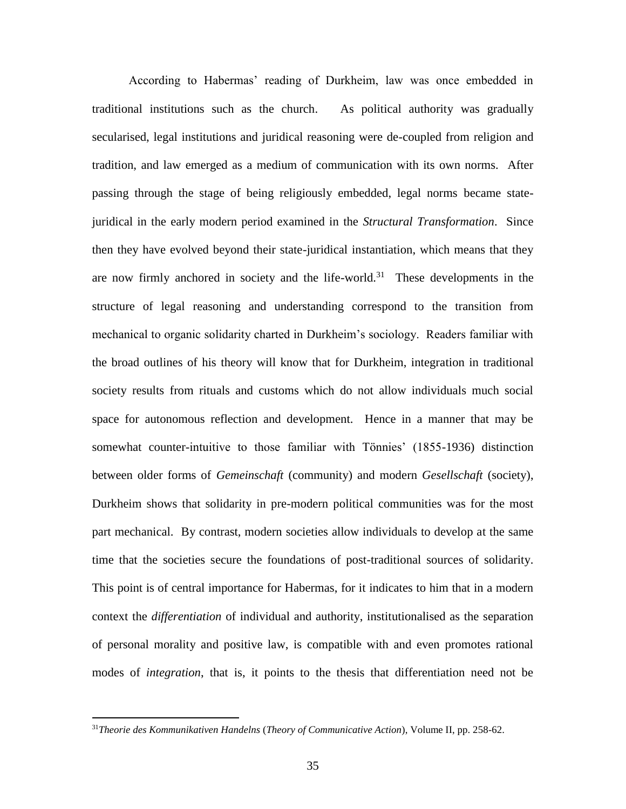According to Habermas' reading of Durkheim, law was once embedded in traditional institutions such as the church. As political authority was gradually secularised, legal institutions and juridical reasoning were de-coupled from religion and tradition, and law emerged as a medium of communication with its own norms. After passing through the stage of being religiously embedded, legal norms became statejuridical in the early modern period examined in the *Structural Transformation*. Since then they have evolved beyond their state-juridical instantiation, which means that they are now firmly anchored in society and the life-world.<sup>31</sup> These developments in the structure of legal reasoning and understanding correspond to the transition from mechanical to organic solidarity charted in Durkheim's sociology. Readers familiar with the broad outlines of his theory will know that for Durkheim, integration in traditional society results from rituals and customs which do not allow individuals much social space for autonomous reflection and development. Hence in a manner that may be somewhat counter-intuitive to those familiar with Tönnies' (1855-1936) distinction between older forms of *Gemeinschaft* (community) and modern *Gesellschaft* (society), Durkheim shows that solidarity in pre-modern political communities was for the most part mechanical. By contrast, modern societies allow individuals to develop at the same time that the societies secure the foundations of post-traditional sources of solidarity. This point is of central importance for Habermas, for it indicates to him that in a modern context the *differentiation* of individual and authority, institutionalised as the separation of personal morality and positive law, is compatible with and even promotes rational modes of *integration*, that is, it points to the thesis that differentiation need not be

<sup>31</sup>*Theorie des Kommunikativen Handelns* (*Theory of Communicative Action*), Volume II, pp. 258-62.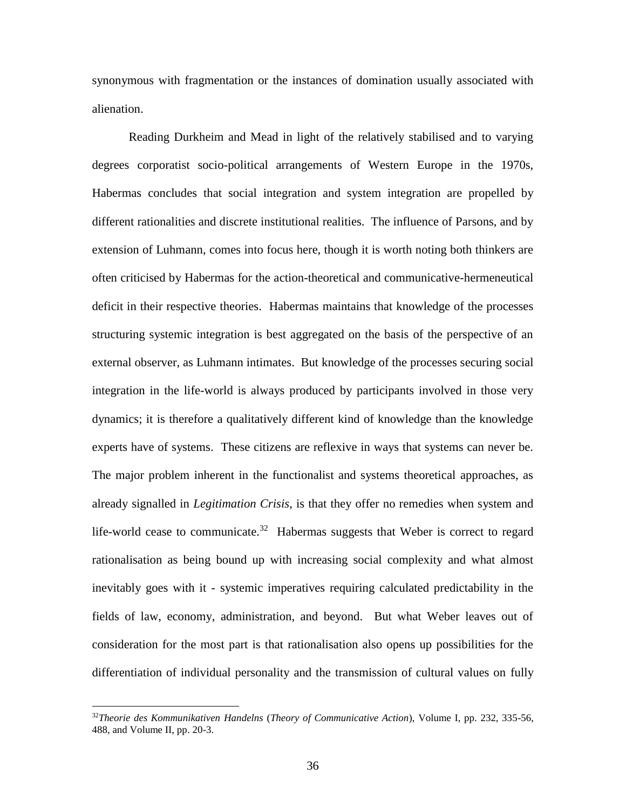synonymous with fragmentation or the instances of domination usually associated with alienation.

Reading Durkheim and Mead in light of the relatively stabilised and to varying degrees corporatist socio-political arrangements of Western Europe in the 1970s, Habermas concludes that social integration and system integration are propelled by different rationalities and discrete institutional realities. The influence of Parsons, and by extension of Luhmann, comes into focus here, though it is worth noting both thinkers are often criticised by Habermas for the action-theoretical and communicative-hermeneutical deficit in their respective theories. Habermas maintains that knowledge of the processes structuring systemic integration is best aggregated on the basis of the perspective of an external observer, as Luhmann intimates. But knowledge of the processes securing social integration in the life-world is always produced by participants involved in those very dynamics; it is therefore a qualitatively different kind of knowledge than the knowledge experts have of systems. These citizens are reflexive in ways that systems can never be. The major problem inherent in the functionalist and systems theoretical approaches, as already signalled in *Legitimation Crisis*, is that they offer no remedies when system and life-world cease to communicate.<sup>32</sup> Habermas suggests that Weber is correct to regard rationalisation as being bound up with increasing social complexity and what almost inevitably goes with it - systemic imperatives requiring calculated predictability in the fields of law, economy, administration, and beyond. But what Weber leaves out of consideration for the most part is that rationalisation also opens up possibilities for the differentiation of individual personality and the transmission of cultural values on fully

<sup>32</sup>*Theorie des Kommunikativen Handelns* (*Theory of Communicative Action*), Volume I, pp. 232, 335-56, 488, and Volume II, pp. 20-3.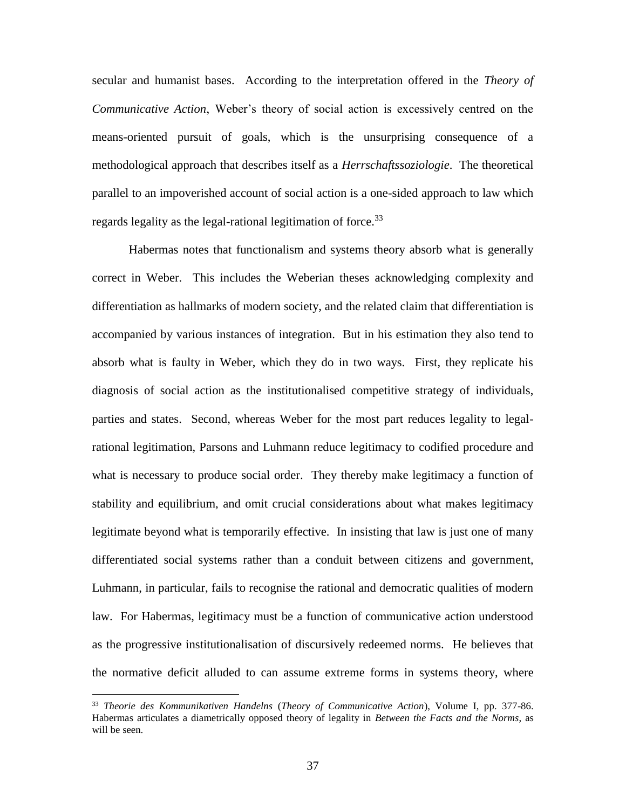secular and humanist bases. According to the interpretation offered in the *Theory of Communicative Action*, Weber's theory of social action is excessively centred on the means-oriented pursuit of goals, which is the unsurprising consequence of a methodological approach that describes itself as a *Herrschaftssoziologie*. The theoretical parallel to an impoverished account of social action is a one-sided approach to law which regards legality as the legal-rational legitimation of force.<sup>33</sup>

Habermas notes that functionalism and systems theory absorb what is generally correct in Weber. This includes the Weberian theses acknowledging complexity and differentiation as hallmarks of modern society, and the related claim that differentiation is accompanied by various instances of integration. But in his estimation they also tend to absorb what is faulty in Weber, which they do in two ways. First, they replicate his diagnosis of social action as the institutionalised competitive strategy of individuals, parties and states. Second, whereas Weber for the most part reduces legality to legalrational legitimation, Parsons and Luhmann reduce legitimacy to codified procedure and what is necessary to produce social order. They thereby make legitimacy a function of stability and equilibrium, and omit crucial considerations about what makes legitimacy legitimate beyond what is temporarily effective. In insisting that law is just one of many differentiated social systems rather than a conduit between citizens and government, Luhmann, in particular, fails to recognise the rational and democratic qualities of modern law. For Habermas, legitimacy must be a function of communicative action understood as the progressive institutionalisation of discursively redeemed norms. He believes that the normative deficit alluded to can assume extreme forms in systems theory, where

<sup>33</sup> *Theorie des Kommunikativen Handelns* (*Theory of Communicative Action*), Volume I, pp. 377-86. Habermas articulates a diametrically opposed theory of legality in *Between the Facts and the Norms*, as will be seen.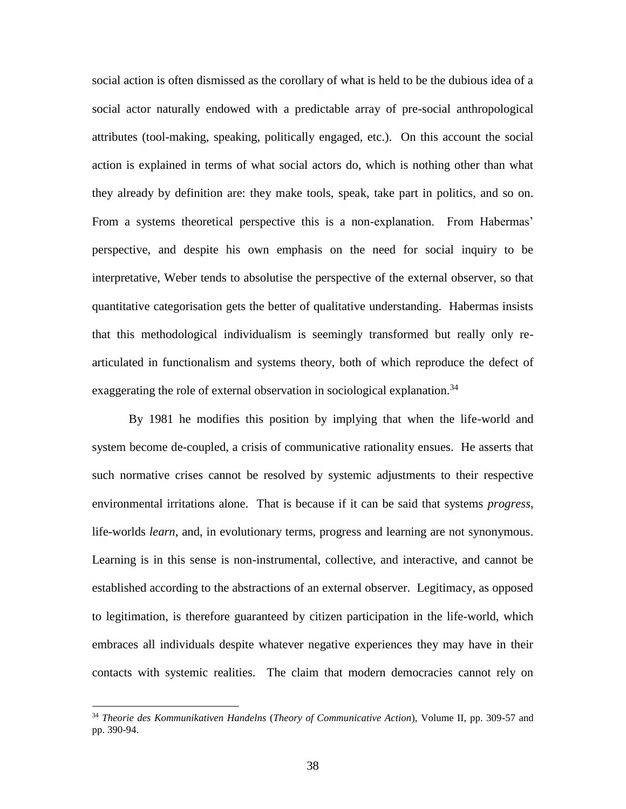social action is often dismissed as the corollary of what is held to be the dubious idea of a social actor naturally endowed with a predictable array of pre-social anthropological attributes (tool-making, speaking, politically engaged, etc.). On this account the social action is explained in terms of what social actors do, which is nothing other than what they already by definition are: they make tools, speak, take part in politics, and so on. From a systems theoretical perspective this is a non-explanation. From Habermas' perspective, and despite his own emphasis on the need for social inquiry to be interpretative, Weber tends to absolutise the perspective of the external observer, so that quantitative categorisation gets the better of qualitative understanding. Habermas insists that this methodological individualism is seemingly transformed but really only rearticulated in functionalism and systems theory, both of which reproduce the defect of exaggerating the role of external observation in sociological explanation.<sup>34</sup>

By 1981 he modifies this position by implying that when the life-world and system become de-coupled, a crisis of communicative rationality ensues. He asserts that such normative crises cannot be resolved by systemic adjustments to their respective environmental irritations alone. That is because if it can be said that systems *progress*, life-worlds *learn*, and, in evolutionary terms, progress and learning are not synonymous. Learning is in this sense is non-instrumental, collective, and interactive, and cannot be established according to the abstractions of an external observer. Legitimacy, as opposed to legitimation, is therefore guaranteed by citizen participation in the life-world, which embraces all individuals despite whatever negative experiences they may have in their contacts with systemic realities. The claim that modern democracies cannot rely on

<sup>34</sup> *Theorie des Kommunikativen Handelns* (*Theory of Communicative Action*), Volume II, pp. 309-57 and pp. 390-94.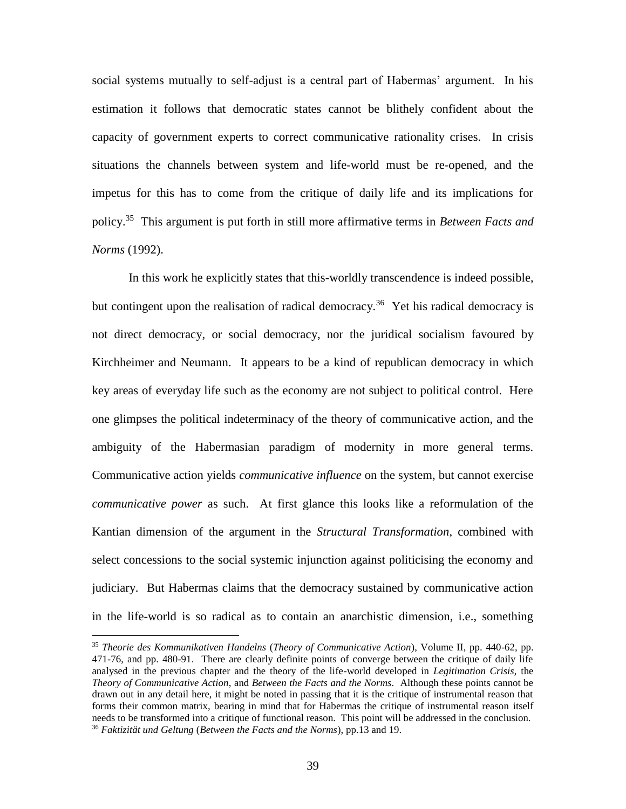social systems mutually to self-adjust is a central part of Habermas' argument. In his estimation it follows that democratic states cannot be blithely confident about the capacity of government experts to correct communicative rationality crises. In crisis situations the channels between system and life-world must be re-opened, and the impetus for this has to come from the critique of daily life and its implications for policy.<sup>35</sup> This argument is put forth in still more affirmative terms in *Between Facts and Norms* (1992).

In this work he explicitly states that this-worldly transcendence is indeed possible, but contingent upon the realisation of radical democracy.<sup>36</sup> Yet his radical democracy is not direct democracy, or social democracy, nor the juridical socialism favoured by Kirchheimer and Neumann. It appears to be a kind of republican democracy in which key areas of everyday life such as the economy are not subject to political control. Here one glimpses the political indeterminacy of the theory of communicative action, and the ambiguity of the Habermasian paradigm of modernity in more general terms. Communicative action yields *communicative influence* on the system, but cannot exercise *communicative power* as such. At first glance this looks like a reformulation of the Kantian dimension of the argument in the *Structural Transformation*, combined with select concessions to the social systemic injunction against politicising the economy and judiciary. But Habermas claims that the democracy sustained by communicative action in the life-world is so radical as to contain an anarchistic dimension, i.e., something

<sup>35</sup> *Theorie des Kommunikativen Handelns* (*Theory of Communicative Action*), Volume II, pp. 440-62, pp. 471-76, and pp. 480-91. There are clearly definite points of converge between the critique of daily life analysed in the previous chapter and the theory of the life-world developed in *Legitimation Crisis*, the *Theory of Communicative Action*, and *Between the Facts and the Norms*. Although these points cannot be drawn out in any detail here, it might be noted in passing that it is the critique of instrumental reason that forms their common matrix, bearing in mind that for Habermas the critique of instrumental reason itself needs to be transformed into a critique of functional reason. This point will be addressed in the conclusion. <sup>36</sup> *Faktizität und Geltung* (*Between the Facts and the Norms*), pp.13 and 19.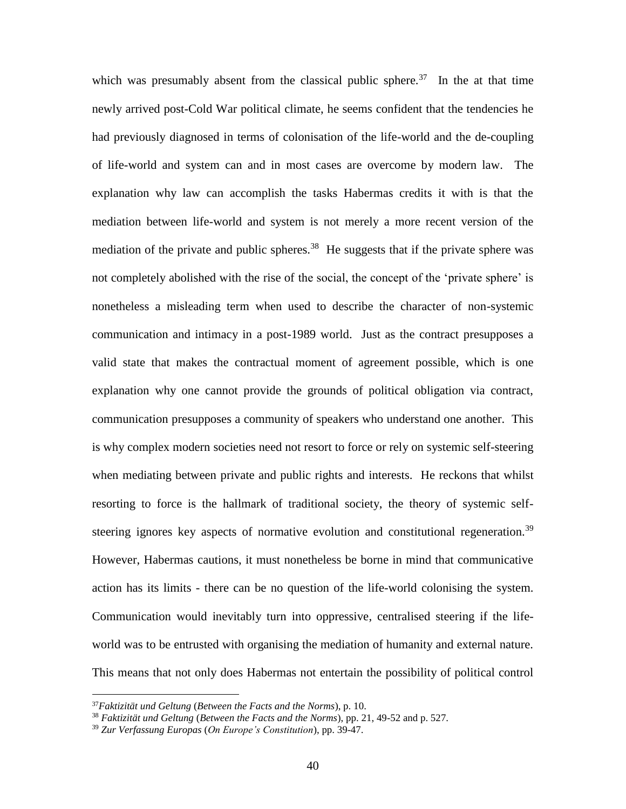which was presumably absent from the classical public sphere.<sup>37</sup> In the at that time newly arrived post-Cold War political climate, he seems confident that the tendencies he had previously diagnosed in terms of colonisation of the life-world and the de-coupling of life-world and system can and in most cases are overcome by modern law. The explanation why law can accomplish the tasks Habermas credits it with is that the mediation between life-world and system is not merely a more recent version of the mediation of the private and public spheres.<sup>38</sup> He suggests that if the private sphere was not completely abolished with the rise of the social, the concept of the 'private sphere' is nonetheless a misleading term when used to describe the character of non-systemic communication and intimacy in a post-1989 world. Just as the contract presupposes a valid state that makes the contractual moment of agreement possible, which is one explanation why one cannot provide the grounds of political obligation via contract, communication presupposes a community of speakers who understand one another. This is why complex modern societies need not resort to force or rely on systemic self-steering when mediating between private and public rights and interests. He reckons that whilst resorting to force is the hallmark of traditional society, the theory of systemic selfsteering ignores key aspects of normative evolution and constitutional regeneration.<sup>39</sup> However, Habermas cautions, it must nonetheless be borne in mind that communicative action has its limits - there can be no question of the life-world colonising the system. Communication would inevitably turn into oppressive, centralised steering if the lifeworld was to be entrusted with organising the mediation of humanity and external nature. This means that not only does Habermas not entertain the possibility of political control

<sup>37</sup>*Faktizität und Geltung* (*Between the Facts and the Norms*), p. 10.

<sup>38</sup> *Faktizität und Geltung* (*Between the Facts and the Norms*), pp. 21, 49-52 and p. 527.

<sup>39</sup> *Zur Verfassung Europas* (*On Europe's Constitution*), pp. 39-47.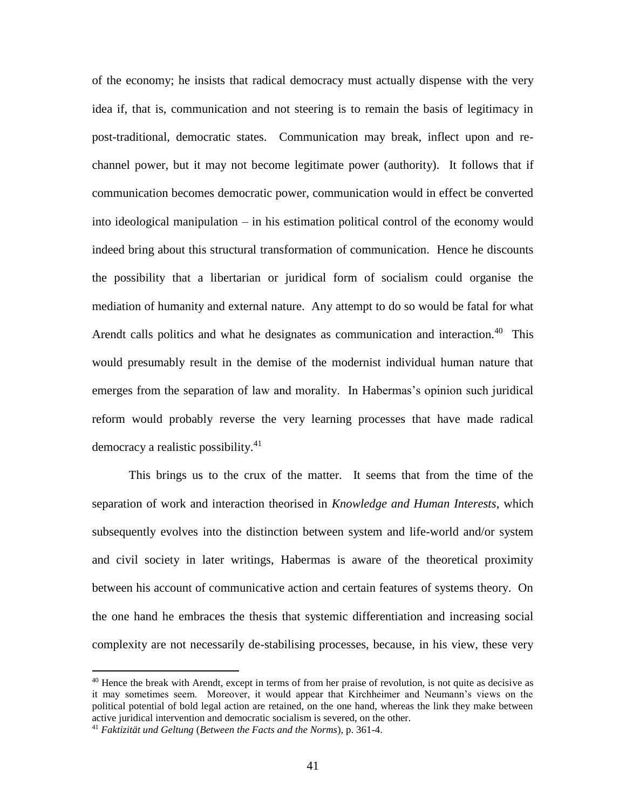of the economy; he insists that radical democracy must actually dispense with the very idea if, that is, communication and not steering is to remain the basis of legitimacy in post-traditional, democratic states. Communication may break, inflect upon and rechannel power, but it may not become legitimate power (authority). It follows that if communication becomes democratic power, communication would in effect be converted into ideological manipulation – in his estimation political control of the economy would indeed bring about this structural transformation of communication. Hence he discounts the possibility that a libertarian or juridical form of socialism could organise the mediation of humanity and external nature. Any attempt to do so would be fatal for what Arendt calls politics and what he designates as communication and interaction.<sup>40</sup> This would presumably result in the demise of the modernist individual human nature that emerges from the separation of law and morality. In Habermas's opinion such juridical reform would probably reverse the very learning processes that have made radical democracy a realistic possibility. 41

This brings us to the crux of the matter. It seems that from the time of the separation of work and interaction theorised in *Knowledge and Human Interests*, which subsequently evolves into the distinction between system and life-world and/or system and civil society in later writings, Habermas is aware of the theoretical proximity between his account of communicative action and certain features of systems theory. On the one hand he embraces the thesis that systemic differentiation and increasing social complexity are not necessarily de-stabilising processes, because, in his view, these very

<sup>&</sup>lt;sup>40</sup> Hence the break with Arendt, except in terms of from her praise of revolution, is not quite as decisive as it may sometimes seem. Moreover, it would appear that Kirchheimer and Neumann's views on the political potential of bold legal action are retained, on the one hand, whereas the link they make between active juridical intervention and democratic socialism is severed, on the other.

<sup>41</sup> *Faktizität und Geltung* (*Between the Facts and the Norms*), p. 361-4.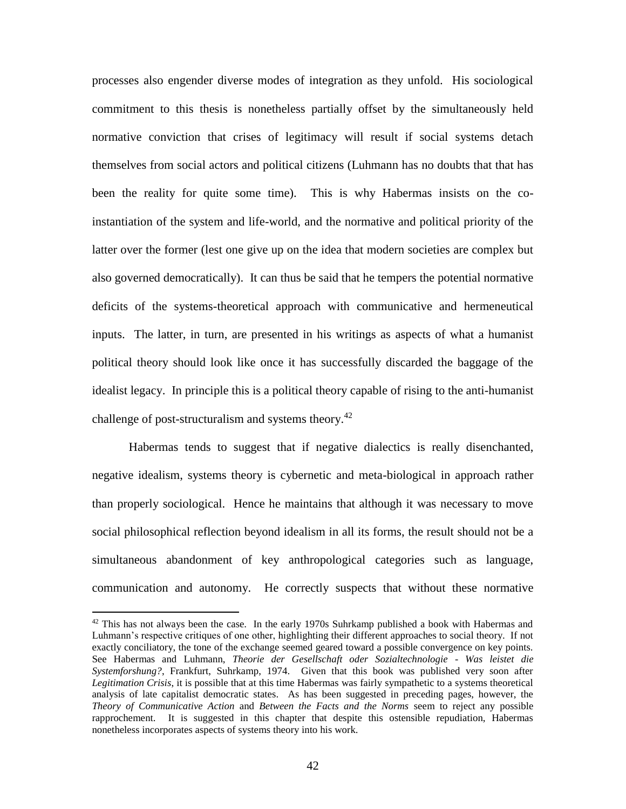processes also engender diverse modes of integration as they unfold. His sociological commitment to this thesis is nonetheless partially offset by the simultaneously held normative conviction that crises of legitimacy will result if social systems detach themselves from social actors and political citizens (Luhmann has no doubts that that has been the reality for quite some time). This is why Habermas insists on the coinstantiation of the system and life-world, and the normative and political priority of the latter over the former (lest one give up on the idea that modern societies are complex but also governed democratically). It can thus be said that he tempers the potential normative deficits of the systems-theoretical approach with communicative and hermeneutical inputs. The latter, in turn, are presented in his writings as aspects of what a humanist political theory should look like once it has successfully discarded the baggage of the idealist legacy. In principle this is a political theory capable of rising to the anti-humanist challenge of post-structuralism and systems theory. $42$ 

Habermas tends to suggest that if negative dialectics is really disenchanted, negative idealism, systems theory is cybernetic and meta-biological in approach rather than properly sociological. Hence he maintains that although it was necessary to move social philosophical reflection beyond idealism in all its forms, the result should not be a simultaneous abandonment of key anthropological categories such as language, communication and autonomy. He correctly suspects that without these normative

 $42$  This has not always been the case. In the early 1970s Suhrkamp published a book with Habermas and Luhmann's respective critiques of one other, highlighting their different approaches to social theory. If not exactly conciliatory, the tone of the exchange seemed geared toward a possible convergence on key points. See Habermas and Luhmann, *Theorie der Gesellschaft oder Sozialtechnologie - Was leistet die Systemforshung?*, Frankfurt, Suhrkamp, 1974. Given that this book was published very soon after *Legitimation Crisis*, it is possible that at this time Habermas was fairly sympathetic to a systems theoretical analysis of late capitalist democratic states. As has been suggested in preceding pages, however, the *Theory of Communicative Action* and *Between the Facts and the Norms* seem to reject any possible rapprochement. It is suggested in this chapter that despite this ostensible repudiation, Habermas nonetheless incorporates aspects of systems theory into his work.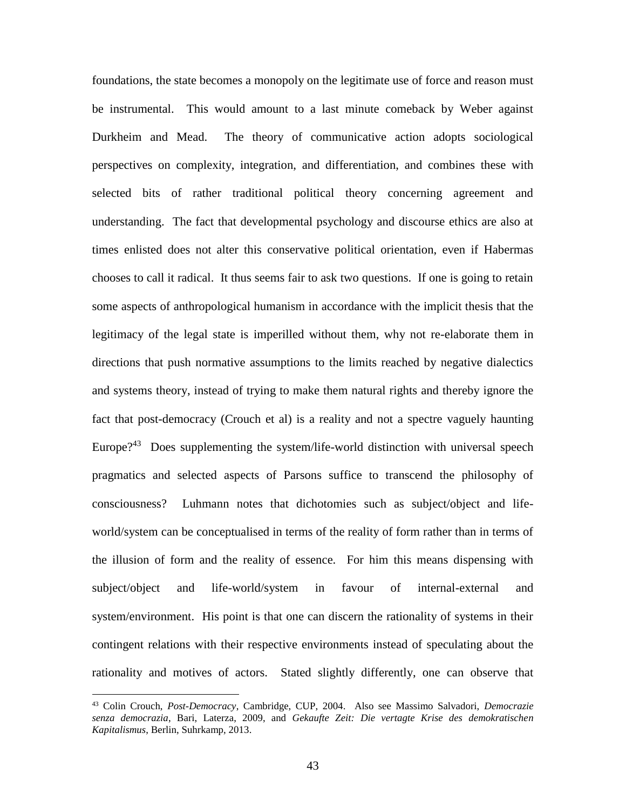foundations, the state becomes a monopoly on the legitimate use of force and reason must be instrumental. This would amount to a last minute comeback by Weber against Durkheim and Mead. The theory of communicative action adopts sociological perspectives on complexity, integration, and differentiation, and combines these with selected bits of rather traditional political theory concerning agreement and understanding. The fact that developmental psychology and discourse ethics are also at times enlisted does not alter this conservative political orientation, even if Habermas chooses to call it radical. It thus seems fair to ask two questions. If one is going to retain some aspects of anthropological humanism in accordance with the implicit thesis that the legitimacy of the legal state is imperilled without them, why not re-elaborate them in directions that push normative assumptions to the limits reached by negative dialectics and systems theory, instead of trying to make them natural rights and thereby ignore the fact that post-democracy (Crouch et al) is a reality and not a spectre vaguely haunting Europe?<sup>43</sup> Does supplementing the system/life-world distinction with universal speech pragmatics and selected aspects of Parsons suffice to transcend the philosophy of consciousness? Luhmann notes that dichotomies such as subject/object and lifeworld/system can be conceptualised in terms of the reality of form rather than in terms of the illusion of form and the reality of essence. For him this means dispensing with subject/object and life-world/system in favour of internal-external and system/environment. His point is that one can discern the rationality of systems in their contingent relations with their respective environments instead of speculating about the rationality and motives of actors. Stated slightly differently, one can observe that

<sup>43</sup> Colin Crouch, *Post-Democracy*, Cambridge, CUP, 2004. Also see Massimo Salvadori, *Democrazie senza democrazia*, Bari, Laterza, 2009, and *Gekaufte Zeit: Die vertagte Krise des demokratischen Kapitalismus*, Berlin, Suhrkamp, 2013.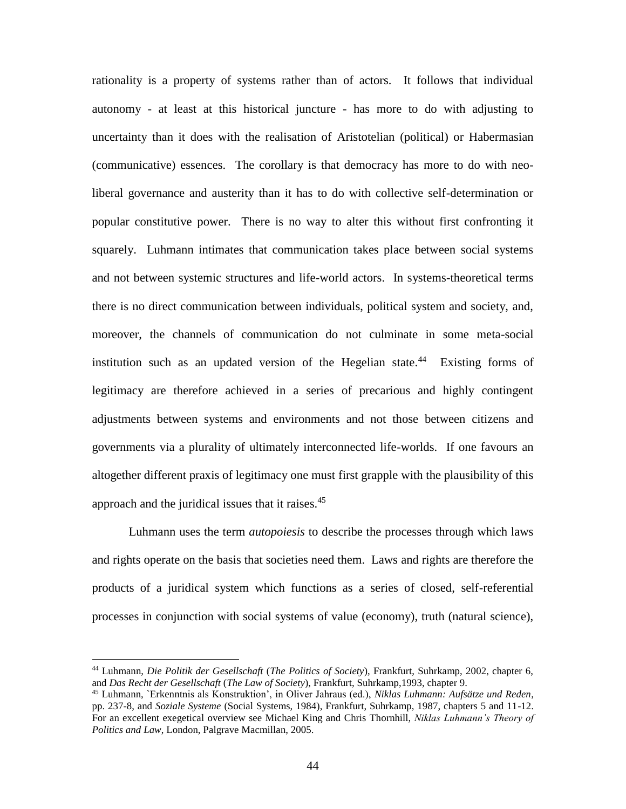rationality is a property of systems rather than of actors. It follows that individual autonomy - at least at this historical juncture - has more to do with adjusting to uncertainty than it does with the realisation of Aristotelian (political) or Habermasian (communicative) essences. The corollary is that democracy has more to do with neoliberal governance and austerity than it has to do with collective self-determination or popular constitutive power. There is no way to alter this without first confronting it squarely. Luhmann intimates that communication takes place between social systems and not between systemic structures and life-world actors. In systems-theoretical terms there is no direct communication between individuals, political system and society, and, moreover, the channels of communication do not culminate in some meta-social institution such as an updated version of the Hegelian state. $44$  Existing forms of legitimacy are therefore achieved in a series of precarious and highly contingent adjustments between systems and environments and not those between citizens and governments via a plurality of ultimately interconnected life-worlds. If one favours an altogether different praxis of legitimacy one must first grapple with the plausibility of this approach and the juridical issues that it raises.<sup>45</sup>

Luhmann uses the term *autopoiesis* to describe the processes through which laws and rights operate on the basis that societies need them. Laws and rights are therefore the products of a juridical system which functions as a series of closed, self-referential processes in conjunction with social systems of value (economy), truth (natural science),

<sup>44</sup> Luhmann, *Die Politik der Gesellschaft* (*The Politics of Society*), Frankfurt, Suhrkamp, 2002, chapter 6, and *Das Recht der Gesellschaft* (*The Law of Society*), Frankfurt, Suhrkamp,1993, chapter 9.

<sup>45</sup> Luhmann, `Erkenntnis als Konstruktion', in Oliver Jahraus (ed.), *Niklas Luhmann: Aufsätze und Reden*, pp. 237-8, and *Soziale Systeme* (Social Systems, 1984), Frankfurt, Suhrkamp, 1987, chapters 5 and 11-12. For an excellent exegetical overview see Michael King and Chris Thornhill, *Niklas Luhmann's Theory of Politics and Law*, London, Palgrave Macmillan, 2005.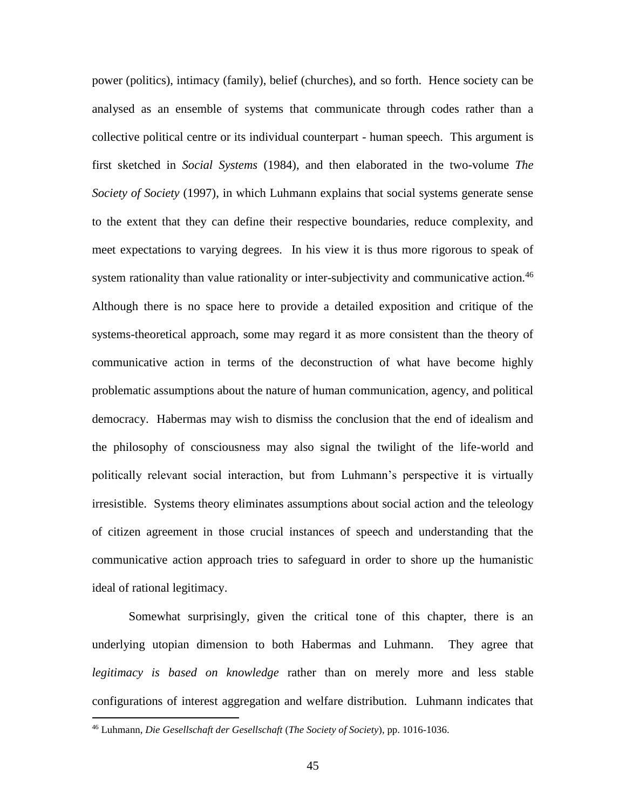power (politics), intimacy (family), belief (churches), and so forth. Hence society can be analysed as an ensemble of systems that communicate through codes rather than a collective political centre or its individual counterpart - human speech. This argument is first sketched in *Social Systems* (1984), and then elaborated in the two-volume *The Society of Society* (1997), in which Luhmann explains that social systems generate sense to the extent that they can define their respective boundaries, reduce complexity, and meet expectations to varying degrees. In his view it is thus more rigorous to speak of system rationality than value rationality or inter-subjectivity and communicative action.<sup>46</sup> Although there is no space here to provide a detailed exposition and critique of the systems-theoretical approach, some may regard it as more consistent than the theory of communicative action in terms of the deconstruction of what have become highly problematic assumptions about the nature of human communication, agency, and political democracy. Habermas may wish to dismiss the conclusion that the end of idealism and the philosophy of consciousness may also signal the twilight of the life-world and politically relevant social interaction, but from Luhmann's perspective it is virtually irresistible. Systems theory eliminates assumptions about social action and the teleology of citizen agreement in those crucial instances of speech and understanding that the communicative action approach tries to safeguard in order to shore up the humanistic ideal of rational legitimacy.

Somewhat surprisingly, given the critical tone of this chapter, there is an underlying utopian dimension to both Habermas and Luhmann. They agree that *legitimacy is based on knowledge* rather than on merely more and less stable configurations of interest aggregation and welfare distribution. Luhmann indicates that

<sup>46</sup> Luhmann, *Die Gesellschaft der Gesellschaft* (*The Society of Society*), pp. 1016-1036.